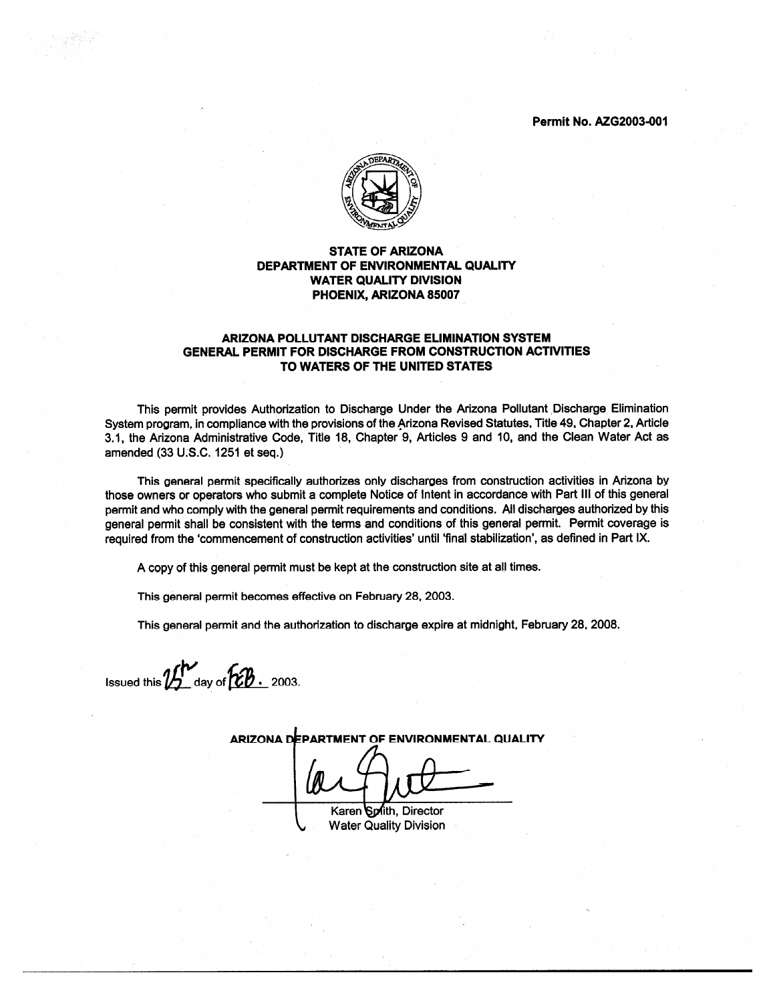**Permit No. AZG2003-001** 



#### **STATE OF ARIZONA** DEPARTMENT OF ENVIRONMENTAL QUALITY **WATER QUALITY DIVISION** PHOENIX, ARIZONA 85007

#### ARIZONA POLLUTANT DISCHARGE ELIMINATION SYSTEM **GENERAL PERMIT FOR DISCHARGE FROM CONSTRUCTION ACTIVITIES** TO WATERS OF THE UNITED STATES

This permit provides Authorization to Discharge Under the Arizona Pollutant Discharge Elimination System program, in compliance with the provisions of the Arizona Revised Statutes, Title 49, Chapter 2, Article 3.1, the Arizona Administrative Code, Title 18, Chapter 9, Articles 9 and 10, and the Clean Water Act as amended (33 U.S.C. 1251 et seq.)

This general permit specifically authorizes only discharges from construction activities in Arizona by those owners or operators who submit a complete Notice of Intent in accordance with Part III of this general permit and who comply with the general permit requirements and conditions. All discharges authorized by this general permit shall be consistent with the terms and conditions of this general permit. Permit coverage is required from the 'commencement of construction activities' until 'final stabilization', as defined in Part IX.

A copy of this general permit must be kept at the construction site at all times.

This general permit becomes effective on February 28, 2003.

This general permit and the authorization to discharge expire at midnight, February 28, 2008.

Issued this  $\mathcal{U}^{\prime\prime}$  day of  $\mathcal{\overline{LB}}$  . 2003.

ARIZONA DEPARTMENT OF ENVIRONMENTAL QUALITY

Karen Spith, Director **Water Quality Division**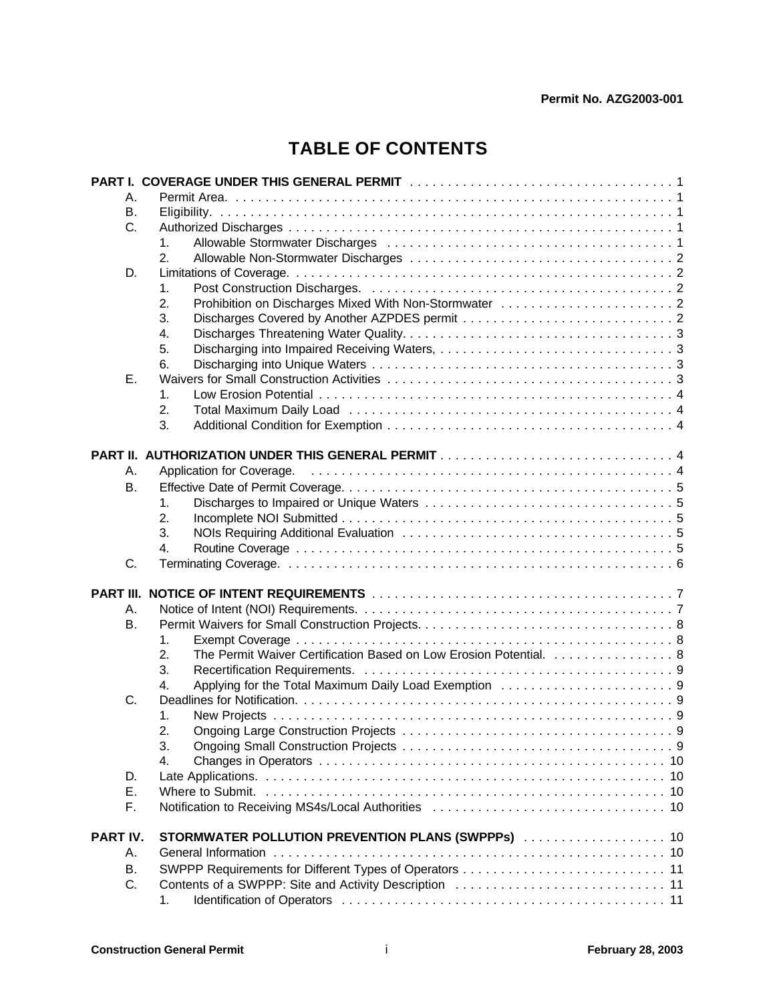# **TABLE OF CONTENTS**

|                 | PART I. COVERAGE UNDER THIS GENERAL PERMIT A And A Anthropology ART I. COVERAGE UNDER THIS GENERAL PERMIT A A A |
|-----------------|-----------------------------------------------------------------------------------------------------------------|
| А.              |                                                                                                                 |
| В.              |                                                                                                                 |
| C.              |                                                                                                                 |
|                 | 1.                                                                                                              |
|                 | 2.                                                                                                              |
| D.              |                                                                                                                 |
|                 | 1.                                                                                                              |
|                 | 2.                                                                                                              |
|                 | 3.                                                                                                              |
|                 | 4.                                                                                                              |
|                 | 5.                                                                                                              |
|                 | 6.                                                                                                              |
| E.              |                                                                                                                 |
|                 | 1.                                                                                                              |
|                 | 2.                                                                                                              |
|                 | 3.                                                                                                              |
|                 |                                                                                                                 |
|                 |                                                                                                                 |
| Α.              | Application for Coverage.                                                                                       |
| <b>B.</b>       |                                                                                                                 |
|                 | 1.                                                                                                              |
|                 | 2.                                                                                                              |
|                 | 3.                                                                                                              |
|                 | 4.                                                                                                              |
| C.              |                                                                                                                 |
|                 |                                                                                                                 |
|                 |                                                                                                                 |
| Α.              |                                                                                                                 |
| <b>B.</b>       |                                                                                                                 |
|                 | 1.                                                                                                              |
|                 | The Permit Waiver Certification Based on Low Erosion Potential. 8<br>2.                                         |
|                 | 3.                                                                                                              |
|                 | 4.                                                                                                              |
| C.              |                                                                                                                 |
|                 | 1.                                                                                                              |
|                 | 2.                                                                                                              |
|                 | 3.                                                                                                              |
|                 | 4.                                                                                                              |
| D.              |                                                                                                                 |
| Ε.              |                                                                                                                 |
| F.              | Notification to Receiving MS4s/Local Authorities (and contain the contact of the 10                             |
| <b>PART IV.</b> | STORMWATER POLLUTION PREVENTION PLANS (SWPPPs)  10                                                              |
| Α.              |                                                                                                                 |
|                 |                                                                                                                 |
| В.<br>C.        |                                                                                                                 |
|                 |                                                                                                                 |
|                 | 1.                                                                                                              |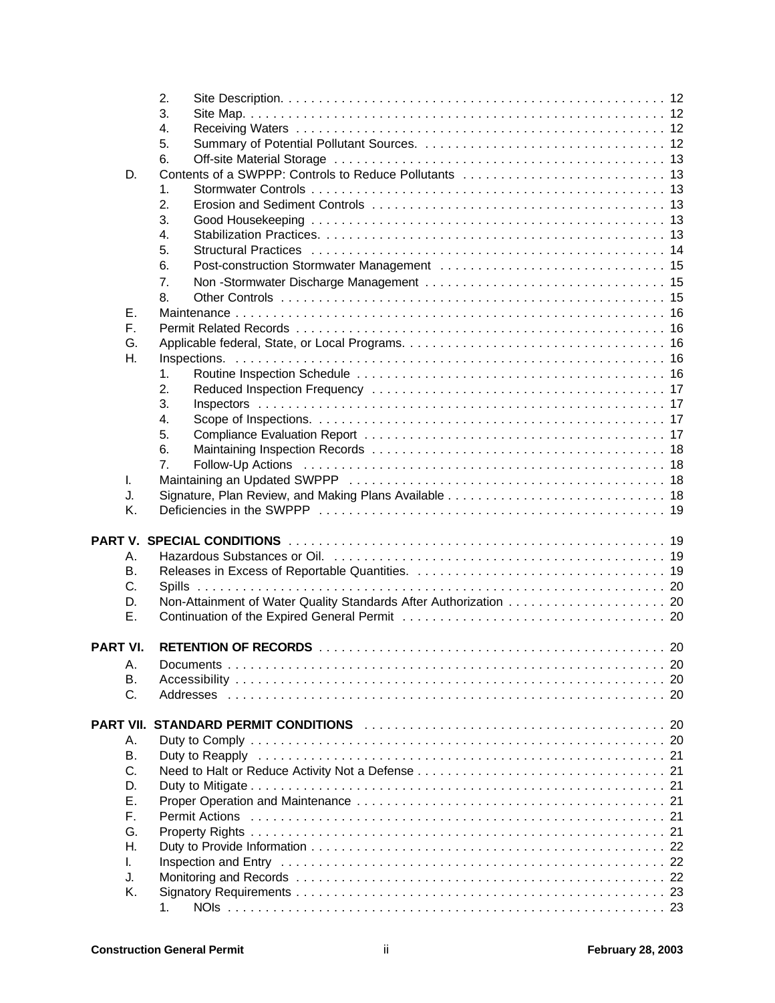|                  | 2. |  |
|------------------|----|--|
|                  | 3. |  |
|                  | 4. |  |
|                  | 5. |  |
|                  | 6. |  |
| D.               |    |  |
|                  | 1. |  |
|                  |    |  |
|                  | 2. |  |
|                  | 3. |  |
|                  | 4. |  |
|                  | 5. |  |
|                  | 6. |  |
|                  | 7. |  |
|                  | 8. |  |
| Е.               |    |  |
| F.               |    |  |
| G.               |    |  |
|                  |    |  |
| Η.               |    |  |
|                  | 1. |  |
|                  | 2. |  |
|                  | 3. |  |
|                  | 4. |  |
|                  | 5. |  |
|                  | 6. |  |
|                  | 7. |  |
| I.               |    |  |
| J.               |    |  |
| Κ.               |    |  |
|                  |    |  |
|                  |    |  |
|                  |    |  |
| А.               |    |  |
| В.               |    |  |
| C.               |    |  |
| D.               |    |  |
| Ε.               |    |  |
|                  |    |  |
| <b>PART VI.</b>  |    |  |
| А.               |    |  |
| В.               |    |  |
| C.               |    |  |
|                  |    |  |
| <b>PART VII.</b> |    |  |
|                  |    |  |
| Α.               |    |  |
| <b>B.</b>        |    |  |
| C.               |    |  |
| D.               |    |  |
| Ε.               |    |  |
|                  |    |  |
| F.               |    |  |
| G.               |    |  |
| Η.               |    |  |
| L.               |    |  |
|                  |    |  |
| J.               |    |  |
| Κ.               | 1. |  |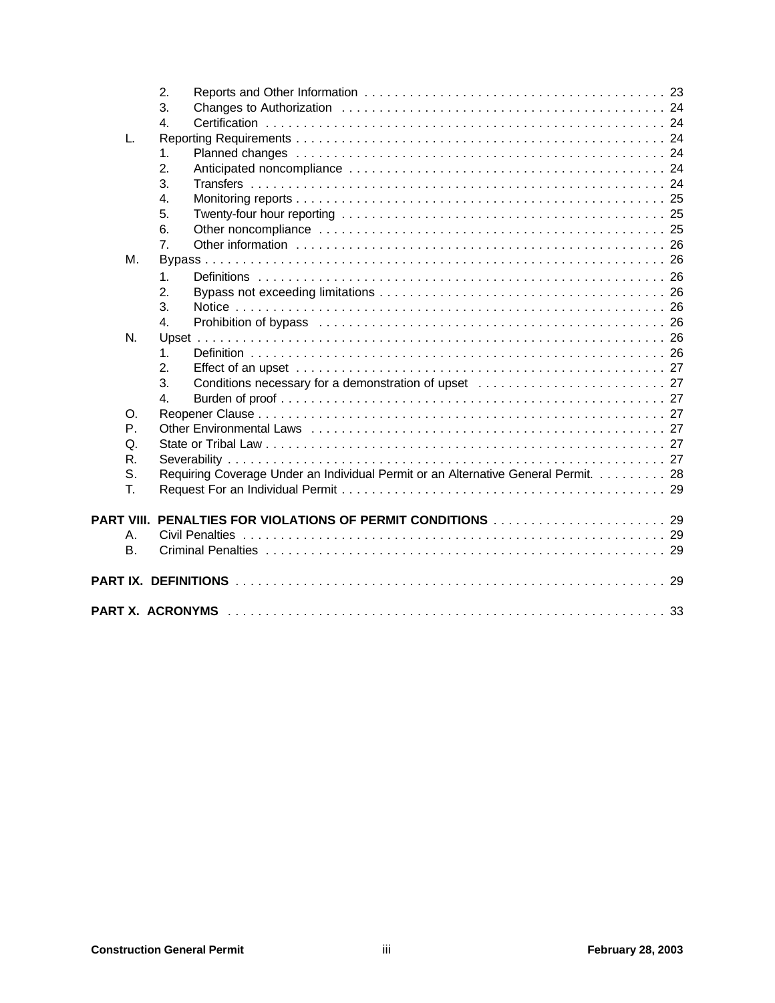|             | 2.                                                                                 |  |
|-------------|------------------------------------------------------------------------------------|--|
|             | 3.                                                                                 |  |
|             | 4.                                                                                 |  |
| L.          |                                                                                    |  |
|             | $\mathbf{1}$ .                                                                     |  |
|             | 2.                                                                                 |  |
|             | 3.                                                                                 |  |
|             | 4.                                                                                 |  |
|             | 5.                                                                                 |  |
|             | 6.                                                                                 |  |
|             | $\overline{7}$ .                                                                   |  |
| М.          |                                                                                    |  |
|             | $\mathbf{1}$ .                                                                     |  |
|             | 2.                                                                                 |  |
|             | 3.                                                                                 |  |
|             | 4.                                                                                 |  |
| N.          |                                                                                    |  |
|             | $\mathbf 1$                                                                        |  |
|             | $\overline{2}$                                                                     |  |
|             | 3.                                                                                 |  |
|             | $\mathbf{4}$                                                                       |  |
| O.          |                                                                                    |  |
| $P_{\perp}$ |                                                                                    |  |
| Q.          |                                                                                    |  |
| R.          |                                                                                    |  |
| S.          | Requiring Coverage Under an Individual Permit or an Alternative General Permit. 28 |  |
| T.          |                                                                                    |  |
|             |                                                                                    |  |
| PART VIII.  |                                                                                    |  |
| Α.          |                                                                                    |  |
| <b>B.</b>   |                                                                                    |  |
|             |                                                                                    |  |
|             |                                                                                    |  |
|             |                                                                                    |  |
|             |                                                                                    |  |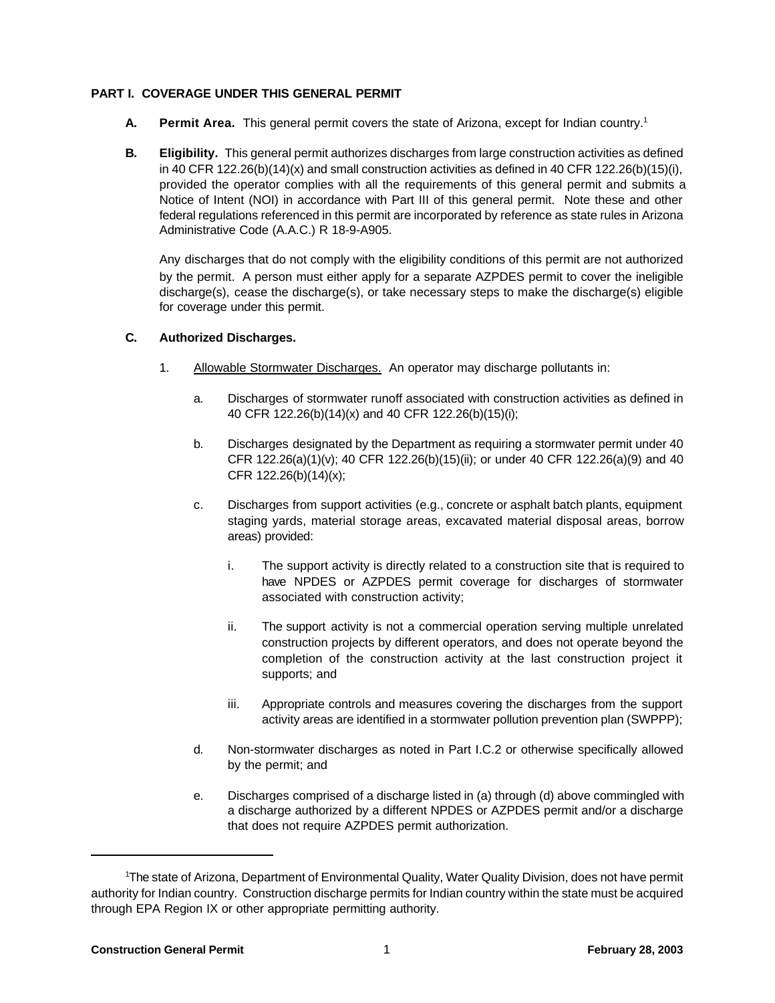#### **PART I. COVERAGE UNDER THIS GENERAL PERMIT**

- **A. Permit Area.** This general permit covers the state of Arizona, except for Indian country.<sup>1</sup>
- **B. Eligibility.** This general permit authorizes discharges from large construction activities as defined in 40 CFR 122.26(b)(14)(x) and small construction activities as defined in 40 CFR 122.26(b)(15)(i), provided the operator complies with all the requirements of this general permit and submits a Notice of Intent (NOI) in accordance with Part III of this general permit. Note these and other federal regulations referenced in this permit are incorporated by reference as state rules in Arizona Administrative Code (A.A.C.) R 18-9-A905.

Any discharges that do not comply with the eligibility conditions of this permit are not authorized by the permit. A person must either apply for a separate AZPDES permit to cover the ineligible discharge(s), cease the discharge(s), or take necessary steps to make the discharge(s) eligible for coverage under this permit.

#### **C. Authorized Discharges.**

- 1. Allowable Stormwater Discharges. An operator may discharge pollutants in:
	- a. Discharges of stormwater runoff associated with construction activities as defined in 40 CFR 122.26(b)(14)(x) and 40 CFR 122.26(b)(15)(i);
	- b. Discharges designated by the Department as requiring a stormwater permit under 40 CFR 122.26(a)(1)(v); 40 CFR 122.26(b)(15)(ii); or under 40 CFR 122.26(a)(9) and 40 CFR 122.26(b)(14)(x);
	- c. Discharges from support activities (e.g., concrete or asphalt batch plants, equipment staging yards, material storage areas, excavated material disposal areas, borrow areas) provided:
		- i. The support activity is directly related to a construction site that is required to have NPDES or AZPDES permit coverage for discharges of stormwater associated with construction activity;
		- ii. The support activity is not a commercial operation serving multiple unrelated construction projects by different operators, and does not operate beyond the completion of the construction activity at the last construction project it supports; and
		- iii. Appropriate controls and measures covering the discharges from the support activity areas are identified in a stormwater pollution prevention plan (SWPPP);
	- d. Non-stormwater discharges as noted in Part I.C.2 or otherwise specifically allowed by the permit; and
	- e. Discharges comprised of a discharge listed in (a) through (d) above commingled with a discharge authorized by a different NPDES or AZPDES permit and/or a discharge that does not require AZPDES permit authorization.

<sup>1</sup>The state of Arizona, Department of Environmental Quality, Water Quality Division, does not have permit authority for Indian country. Construction discharge permits for Indian country within the state must be acquired through EPA Region IX or other appropriate permitting authority.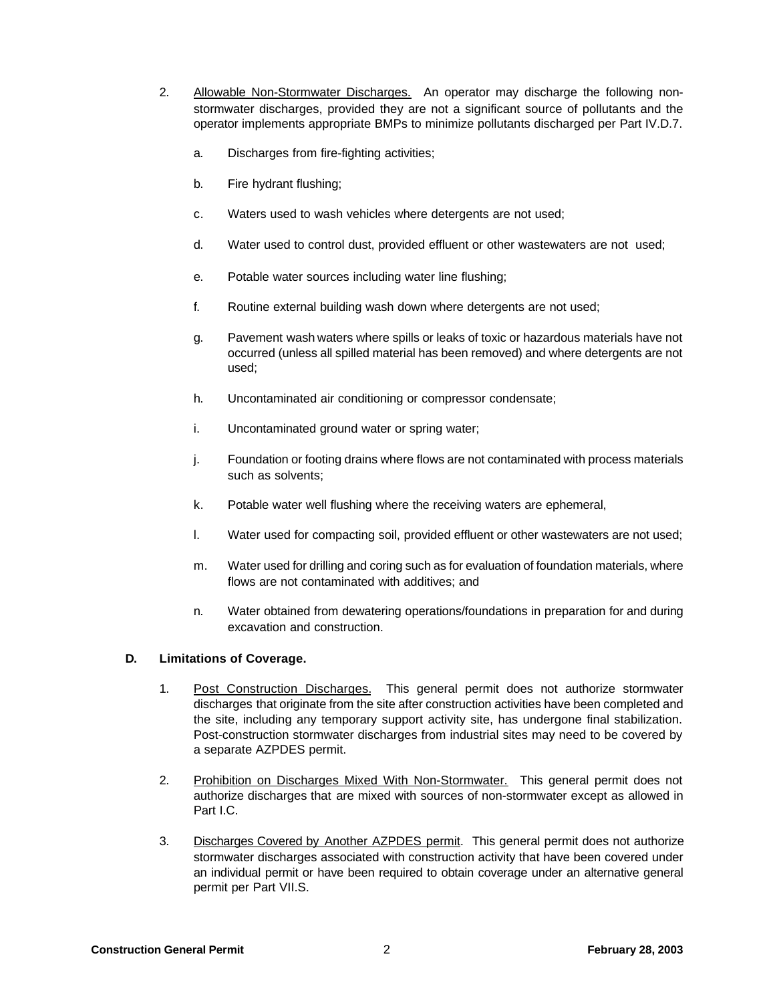- 2. Allowable Non-Stormwater Discharges. An operator may discharge the following nonstormwater discharges, provided they are not a significant source of pollutants and the operator implements appropriate BMPs to minimize pollutants discharged per Part IV.D.7.
	- a. Discharges from fire-fighting activities;
	- b. Fire hydrant flushing;
	- c. Waters used to wash vehicles where detergents are not used;
	- d. Water used to control dust, provided effluent or other wastewaters are not used;
	- e. Potable water sources including water line flushing;
	- f. Routine external building wash down where detergents are not used;
	- g. Pavement wash waters where spills or leaks of toxic or hazardous materials have not occurred (unless all spilled material has been removed) and where detergents are not used;
	- h. Uncontaminated air conditioning or compressor condensate;
	- i. Uncontaminated ground water or spring water;
	- j. Foundation or footing drains where flows are not contaminated with process materials such as solvents;
	- k. Potable water well flushing where the receiving waters are ephemeral,
	- l. Water used for compacting soil, provided effluent or other wastewaters are not used;
	- m. Water used for drilling and coring such as for evaluation of foundation materials, where flows are not contaminated with additives; and
	- n. Water obtained from dewatering operations/foundations in preparation for and during excavation and construction.

# **D. Limitations of Coverage.**

- 1. Post Construction Discharges. This general permit does not authorize stormwater discharges that originate from the site after construction activities have been completed and the site, including any temporary support activity site, has undergone final stabilization. Post-construction stormwater discharges from industrial sites may need to be covered by a separate AZPDES permit.
- 2. Prohibition on Discharges Mixed With Non-Stormwater. This general permit does not authorize discharges that are mixed with sources of non-stormwater except as allowed in Part I.C.
- 3. Discharges Covered by Another AZPDES permit. This general permit does not authorize stormwater discharges associated with construction activity that have been covered under an individual permit or have been required to obtain coverage under an alternative general permit per Part VII.S.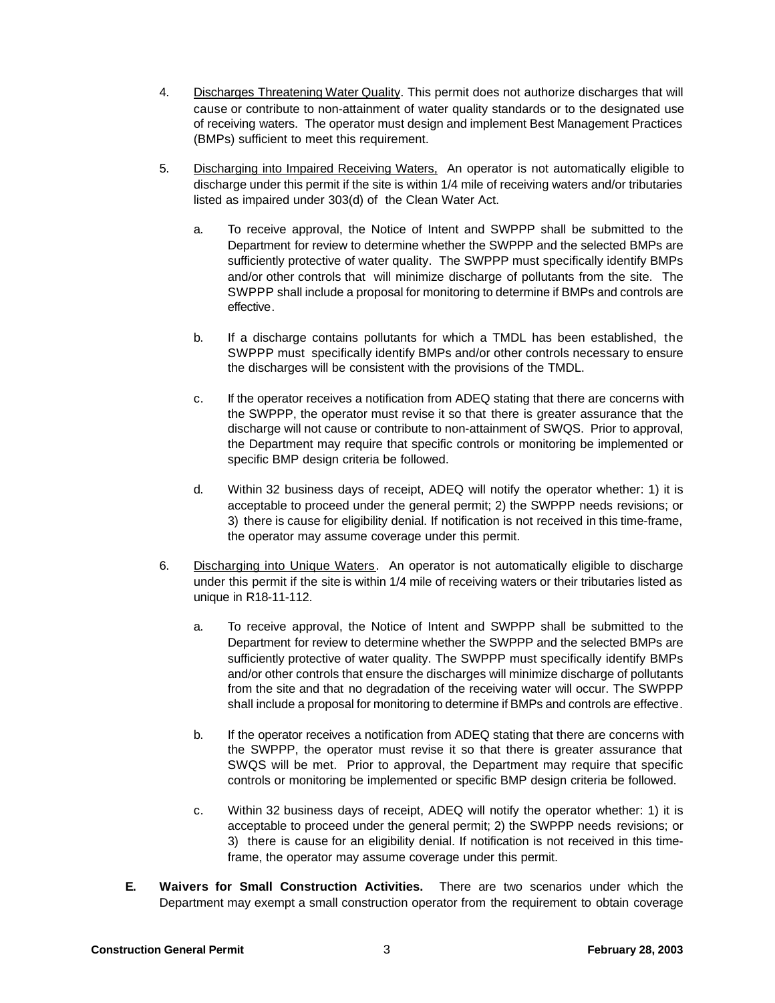- 4. Discharges Threatening Water Quality. This permit does not authorize discharges that will cause or contribute to non-attainment of water quality standards or to the designated use of receiving waters. The operator must design and implement Best Management Practices (BMPs) sufficient to meet this requirement.
- 5. Discharging into Impaired Receiving Waters, An operator is not automatically eligible to discharge under this permit if the site is within 1/4 mile of receiving waters and/or tributaries listed as impaired under 303(d) of the Clean Water Act.
	- a. To receive approval, the Notice of Intent and SWPPP shall be submitted to the Department for review to determine whether the SWPPP and the selected BMPs are sufficiently protective of water quality. The SWPPP must specifically identify BMPs and/or other controls that will minimize discharge of pollutants from the site. The SWPPP shall include a proposal for monitoring to determine if BMPs and controls are effective.
	- b. If a discharge contains pollutants for which a TMDL has been established, the SWPPP must specifically identify BMPs and/or other controls necessary to ensure the discharges will be consistent with the provisions of the TMDL.
	- c. If the operator receives a notification from ADEQ stating that there are concerns with the SWPPP, the operator must revise it so that there is greater assurance that the discharge will not cause or contribute to non-attainment of SWQS. Prior to approval, the Department may require that specific controls or monitoring be implemented or specific BMP design criteria be followed.
	- d. Within 32 business days of receipt, ADEQ will notify the operator whether: 1) it is acceptable to proceed under the general permit; 2) the SWPPP needs revisions; or 3) there is cause for eligibility denial. If notification is not received in this time-frame, the operator may assume coverage under this permit.
- 6. Discharging into Unique Waters. An operator is not automatically eligible to discharge under this permit if the site is within 1/4 mile of receiving waters or their tributaries listed as unique in R18-11-112.
	- a. To receive approval, the Notice of Intent and SWPPP shall be submitted to the Department for review to determine whether the SWPPP and the selected BMPs are sufficiently protective of water quality. The SWPPP must specifically identify BMPs and/or other controls that ensure the discharges will minimize discharge of pollutants from the site and that no degradation of the receiving water will occur. The SWPPP shall include a proposal for monitoring to determine if BMPs and controls are effective.
	- b. If the operator receives a notification from ADEQ stating that there are concerns with the SWPPP, the operator must revise it so that there is greater assurance that SWQS will be met. Prior to approval, the Department may require that specific controls or monitoring be implemented or specific BMP design criteria be followed.
	- c. Within 32 business days of receipt, ADEQ will notify the operator whether: 1) it is acceptable to proceed under the general permit; 2) the SWPPP needs revisions; or 3) there is cause for an eligibility denial. If notification is not received in this timeframe, the operator may assume coverage under this permit.
- **E. Waivers for Small Construction Activities.** There are two scenarios under which the Department may exempt a small construction operator from the requirement to obtain coverage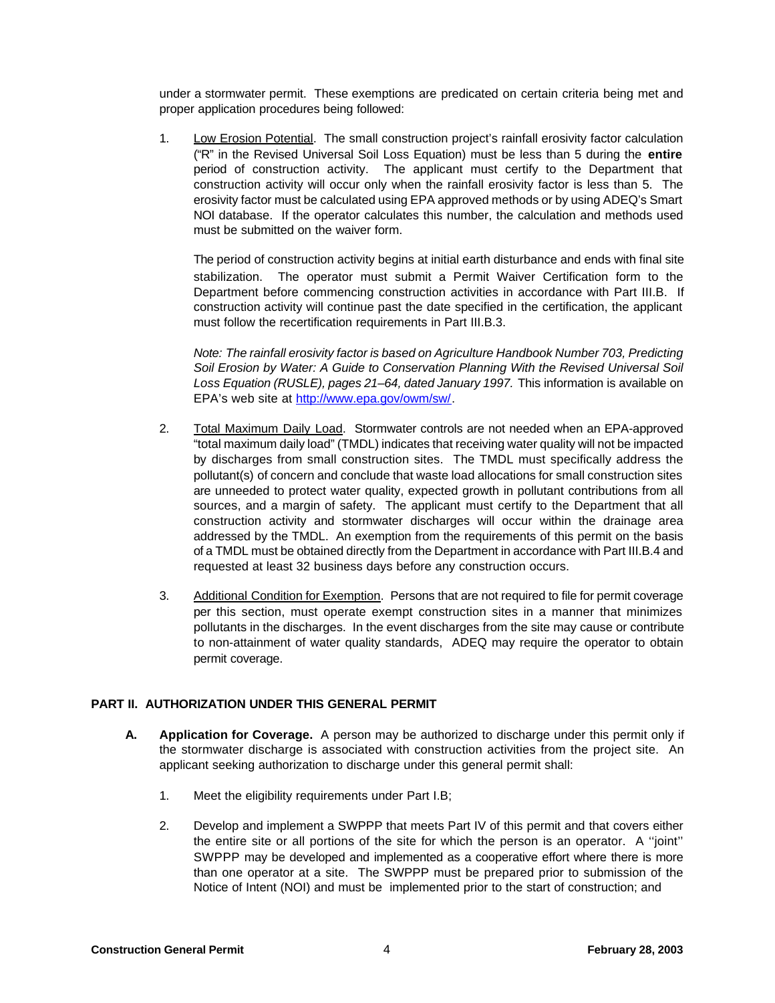under a stormwater permit. These exemptions are predicated on certain criteria being met and proper application procedures being followed:

1. Low Erosion Potential. The small construction project's rainfall erosivity factor calculation ("R" in the Revised Universal Soil Loss Equation) must be less than 5 during the **entire** period of construction activity. The applicant must certify to the Department that construction activity will occur only when the rainfall erosivity factor is less than 5. The erosivity factor must be calculated using EPA approved methods or by using ADEQ's Smart NOI database. If the operator calculates this number, the calculation and methods used must be submitted on the waiver form.

The period of construction activity begins at initial earth disturbance and ends with final site stabilization. The operator must submit a Permit Waiver Certification form to the Department before commencing construction activities in accordance with Part III.B. If construction activity will continue past the date specified in the certification, the applicant must follow the recertification requirements in Part III.B.3.

*Note: The rainfall erosivity factor is based on Agriculture Handbook Number 703, Predicting Soil Erosion by Water: A Guide to Conservation Planning With the Revised Universal Soil Loss Equation (RUSLE), pages 21–64, dated January 1997.* This information is available on EPA's web site at http://www.epa.gov/owm/sw/.

- 2. Total Maximum Daily Load. Stormwater controls are not needed when an EPA-approved "total maximum daily load" (TMDL) indicates that receiving water quality will not be impacted by discharges from small construction sites. The TMDL must specifically address the pollutant(s) of concern and conclude that waste load allocations for small construction sites are unneeded to protect water quality, expected growth in pollutant contributions from all sources, and a margin of safety. The applicant must certify to the Department that all construction activity and stormwater discharges will occur within the drainage area addressed by the TMDL. An exemption from the requirements of this permit on the basis of a TMDL must be obtained directly from the Department in accordance with Part III.B.4 and requested at least 32 business days before any construction occurs.
- 3. Additional Condition for Exemption. Persons that are not required to file for permit coverage per this section, must operate exempt construction sites in a manner that minimizes pollutants in the discharges. In the event discharges from the site may cause or contribute to non-attainment of water quality standards, ADEQ may require the operator to obtain permit coverage.

#### **PART II. AUTHORIZATION UNDER THIS GENERAL PERMIT**

- **A. Application for Coverage.** A person may be authorized to discharge under this permit only if the stormwater discharge is associated with construction activities from the project site. An applicant seeking authorization to discharge under this general permit shall:
	- 1. Meet the eligibility requirements under Part I.B;
	- 2. Develop and implement a SWPPP that meets Part IV of this permit and that covers either the entire site or all portions of the site for which the person is an operator. A ''joint'' SWPPP may be developed and implemented as a cooperative effort where there is more than one operator at a site. The SWPPP must be prepared prior to submission of the Notice of Intent (NOI) and must be implemented prior to the start of construction; and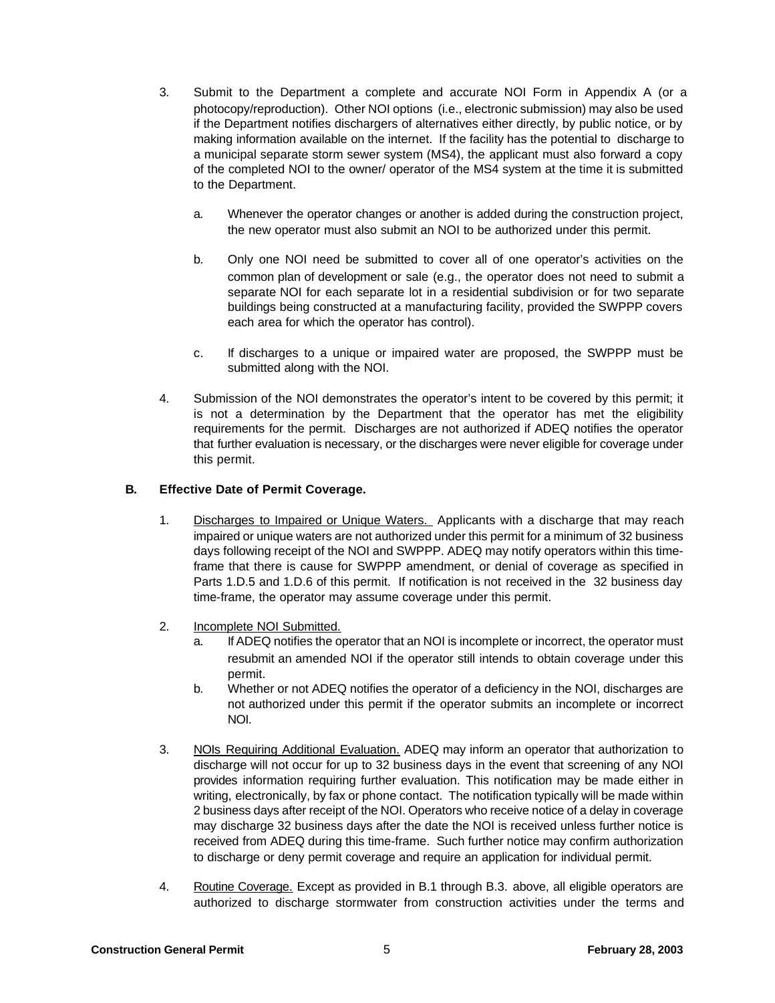- 3. Submit to the Department a complete and accurate NOI Form in Appendix A (or a photocopy/reproduction). Other NOI options (i.e., electronic submission) may also be used if the Department notifies dischargers of alternatives either directly, by public notice, or by making information available on the internet. If the facility has the potential to discharge to a municipal separate storm sewer system (MS4), the applicant must also forward a copy of the completed NOI to the owner/ operator of the MS4 system at the time it is submitted to the Department.
	- a. Whenever the operator changes or another is added during the construction project, the new operator must also submit an NOI to be authorized under this permit.
	- b. Only one NOI need be submitted to cover all of one operator's activities on the common plan of development or sale (e.g., the operator does not need to submit a separate NOI for each separate lot in a residential subdivision or for two separate buildings being constructed at a manufacturing facility, provided the SWPPP covers each area for which the operator has control).
	- c. If discharges to a unique or impaired water are proposed, the SWPPP must be submitted along with the NOI.
- 4. Submission of the NOI demonstrates the operator's intent to be covered by this permit; it is not a determination by the Department that the operator has met the eligibility requirements for the permit. Discharges are not authorized if ADEQ notifies the operator that further evaluation is necessary, or the discharges were never eligible for coverage under this permit.

## **B. Effective Date of Permit Coverage.**

- 1. Discharges to Impaired or Unique Waters. Applicants with a discharge that may reach impaired or unique waters are not authorized under this permit for a minimum of 32 business days following receipt of the NOI and SWPPP. ADEQ may notify operators within this timeframe that there is cause for SWPPP amendment, or denial of coverage as specified in Parts 1.D.5 and 1.D.6 of this permit. If notification is not received in the 32 business day time-frame, the operator may assume coverage under this permit.
- 2. Incomplete NOI Submitted.
	- a. If ADEQ notifies the operator that an NOI is incomplete or incorrect, the operator must resubmit an amended NOI if the operator still intends to obtain coverage under this permit.
	- b. Whether or not ADEQ notifies the operator of a deficiency in the NOI, discharges are not authorized under this permit if the operator submits an incomplete or incorrect NOI.
- 3. NOIs Requiring Additional Evaluation. ADEQ may inform an operator that authorization to discharge will not occur for up to 32 business days in the event that screening of any NOI provides information requiring further evaluation. This notification may be made either in writing, electronically, by fax or phone contact. The notification typically will be made within 2 business days after receipt of the NOI. Operators who receive notice of a delay in coverage may discharge 32 business days after the date the NOI is received unless further notice is received from ADEQ during this time-frame. Such further notice may confirm authorization to discharge or deny permit coverage and require an application for individual permit.
- 4. Routine Coverage. Except as provided in B.1 through B.3. above, all eligible operators are authorized to discharge stormwater from construction activities under the terms and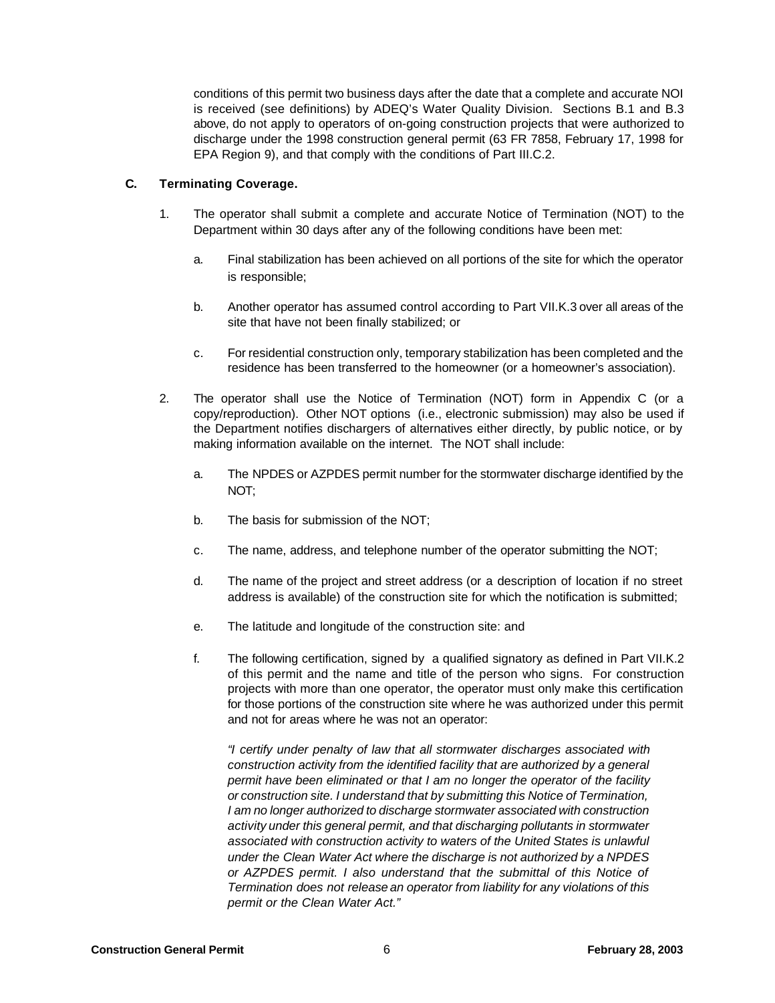conditions of this permit two business days after the date that a complete and accurate NOI is received (see definitions) by ADEQ's Water Quality Division. Sections B.1 and B.3 above, do not apply to operators of on-going construction projects that were authorized to discharge under the 1998 construction general permit (63 FR 7858, February 17, 1998 for EPA Region 9), and that comply with the conditions of Part III.C.2.

#### **C. Terminating Coverage.**

- 1. The operator shall submit a complete and accurate Notice of Termination (NOT) to the Department within 30 days after any of the following conditions have been met:
	- a. Final stabilization has been achieved on all portions of the site for which the operator is responsible;
	- b. Another operator has assumed control according to Part VII.K.3 over all areas of the site that have not been finally stabilized; or
	- c. For residential construction only, temporary stabilization has been completed and the residence has been transferred to the homeowner (or a homeowner's association).
- 2. The operator shall use the Notice of Termination (NOT) form in Appendix C (or a copy/reproduction). Other NOT options (i.e., electronic submission) may also be used if the Department notifies dischargers of alternatives either directly, by public notice, or by making information available on the internet. The NOT shall include:
	- a. The NPDES or AZPDES permit number for the stormwater discharge identified by the NOT;
	- b. The basis for submission of the NOT;
	- c. The name, address, and telephone number of the operator submitting the NOT;
	- d. The name of the project and street address (or a description of location if no street address is available) of the construction site for which the notification is submitted;
	- e. The latitude and longitude of the construction site: and
	- f. The following certification, signed by a qualified signatory as defined in Part VII.K.2 of this permit and the name and title of the person who signs. For construction projects with more than one operator, the operator must only make this certification for those portions of the construction site where he was authorized under this permit and not for areas where he was not an operator:

*"I certify under penalty of law that all stormwater discharges associated with construction activity from the identified facility that are authorized by a general permit have been eliminated or that I am no longer the operator of the facility or construction site. I understand that by submitting this Notice of Termination, I am no longer authorized to discharge stormwater associated with construction activity under this general permit, and that discharging pollutants in stormwater associated with construction activity to waters of the United States is unlawful under the Clean Water Act where the discharge is not authorized by a NPDES or AZPDES permit. I also understand that the submittal of this Notice of Termination does not release an operator from liability for any violations of this permit or the Clean Water Act."*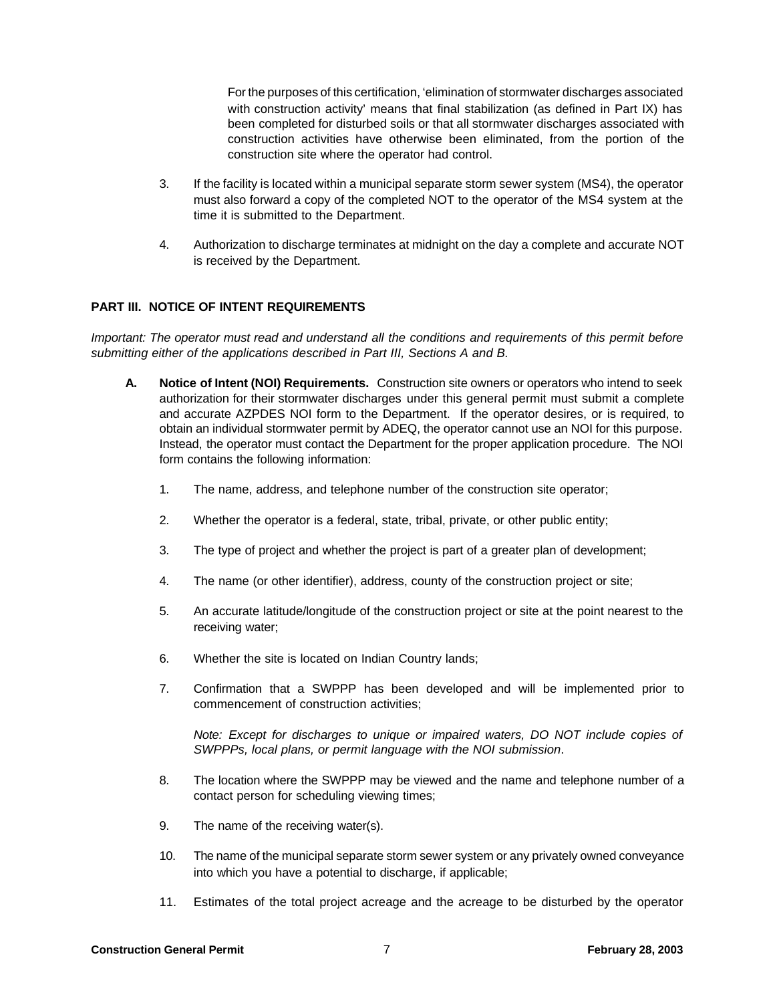For the purposes of this certification, 'elimination of stormwater discharges associated with construction activity' means that final stabilization (as defined in Part IX) has been completed for disturbed soils or that all stormwater discharges associated with construction activities have otherwise been eliminated, from the portion of the construction site where the operator had control.

- 3. If the facility is located within a municipal separate storm sewer system (MS4), the operator must also forward a copy of the completed NOT to the operator of the MS4 system at the time it is submitted to the Department.
- 4. Authorization to discharge terminates at midnight on the day a complete and accurate NOT is received by the Department.

## **PART III. NOTICE OF INTENT REQUIREMENTS**

*Important: The operator must read and understand all the conditions and requirements of this permit before submitting either of the applications described in Part III, Sections A and B.*

- **A. Notice of Intent (NOI) Requirements.** Construction site owners or operators who intend to seek authorization for their stormwater discharges under this general permit must submit a complete and accurate AZPDES NOI form to the Department. If the operator desires, or is required, to obtain an individual stormwater permit by ADEQ, the operator cannot use an NOI for this purpose. Instead, the operator must contact the Department for the proper application procedure. The NOI form contains the following information:
	- 1. The name, address, and telephone number of the construction site operator;
	- 2. Whether the operator is a federal, state, tribal, private, or other public entity;
	- 3. The type of project and whether the project is part of a greater plan of development;
	- 4. The name (or other identifier), address, county of the construction project or site;
	- 5. An accurate latitude/longitude of the construction project or site at the point nearest to the receiving water;
	- 6. Whether the site is located on Indian Country lands;
	- 7. Confirmation that a SWPPP has been developed and will be implemented prior to commencement of construction activities;

*Note: Except for discharges to unique or impaired waters, DO NOT include copies of SWPPPs, local plans, or permit language with the NOI submission*.

- 8. The location where the SWPPP may be viewed and the name and telephone number of a contact person for scheduling viewing times;
- 9. The name of the receiving water(s).
- 10. The name of the municipal separate storm sewer system or any privately owned conveyance into which you have a potential to discharge, if applicable;
- 11. Estimates of the total project acreage and the acreage to be disturbed by the operator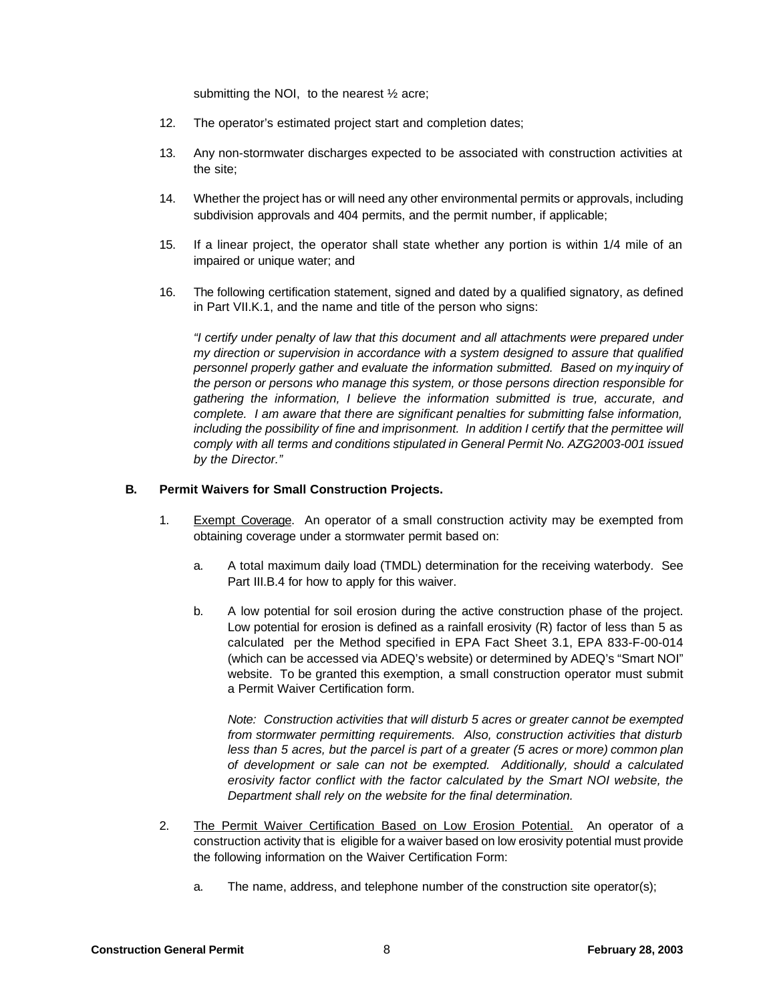submitting the NOI, to the nearest  $\frac{1}{2}$  acre;

- 12. The operator's estimated project start and completion dates;
- 13. Any non-stormwater discharges expected to be associated with construction activities at the site;
- 14. Whether the project has or will need any other environmental permits or approvals, including subdivision approvals and 404 permits, and the permit number, if applicable;
- 15. If a linear project, the operator shall state whether any portion is within 1/4 mile of an impaired or unique water; and
- 16. The following certification statement, signed and dated by a qualified signatory, as defined in Part VII.K.1, and the name and title of the person who signs:

*"I certify under penalty of law that this document and all attachments were prepared under my direction or supervision in accordance with a system designed to assure that qualified personnel properly gather and evaluate the information submitted. Based on my inquiry of the person or persons who manage this system, or those persons direction responsible for gathering the information, I believe the information submitted is true, accurate, and complete. I am aware that there are significant penalties for submitting false information, including the possibility of fine and imprisonment. In addition I certify that the permittee will comply with all terms and conditions stipulated in General Permit No. AZG2003-001 issued by the Director."*

#### **B. Permit Waivers for Small Construction Projects.**

- 1. Exempt Coverage. An operator of a small construction activity may be exempted from obtaining coverage under a stormwater permit based on:
	- a. A total maximum daily load (TMDL) determination for the receiving waterbody. See Part III.B.4 for how to apply for this waiver.
	- b. A low potential for soil erosion during the active construction phase of the project. Low potential for erosion is defined as a rainfall erosivity (R) factor of less than 5 as calculated per the Method specified in EPA Fact Sheet 3.1, EPA 833-F-00-014 (which can be accessed via ADEQ's website) or determined by ADEQ's "Smart NOI" website. To be granted this exemption, a small construction operator must submit a Permit Waiver Certification form.

*Note: Construction activities that will disturb 5 acres or greater cannot be exempted from stormwater permitting requirements. Also, construction activities that disturb less than 5 acres, but the parcel is part of a greater (5 acres or more) common plan of development or sale can not be exempted. Additionally, should a calculated erosivity factor conflict with the factor calculated by the Smart NOI website, the Department shall rely on the website for the final determination.*

- 2. The Permit Waiver Certification Based on Low Erosion Potential. An operator of a construction activity that is eligible for a waiver based on low erosivity potential must provide the following information on the Waiver Certification Form:
	- a. The name, address, and telephone number of the construction site operator(s);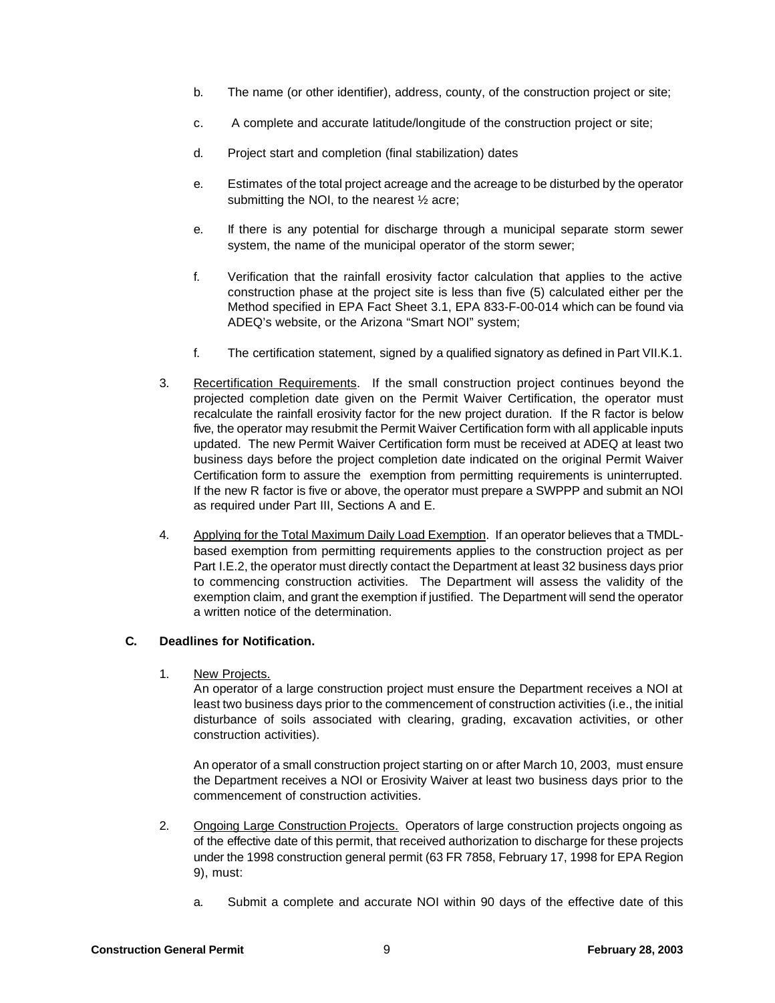- b. The name (or other identifier), address, county, of the construction project or site;
- c. A complete and accurate latitude/longitude of the construction project or site;
- d. Project start and completion (final stabilization) dates
- e. Estimates of the total project acreage and the acreage to be disturbed by the operator submitting the NOI, to the nearest ½ acre;
- e. If there is any potential for discharge through a municipal separate storm sewer system, the name of the municipal operator of the storm sewer;
- f. Verification that the rainfall erosivity factor calculation that applies to the active construction phase at the project site is less than five (5) calculated either per the Method specified in EPA Fact Sheet 3.1, EPA 833-F-00-014 which can be found via ADEQ's website, or the Arizona "Smart NOI" system;
- f. The certification statement, signed by a qualified signatory as defined in Part VII.K.1.
- 3. Recertification Requirements. If the small construction project continues beyond the projected completion date given on the Permit Waiver Certification, the operator must recalculate the rainfall erosivity factor for the new project duration. If the R factor is below five, the operator may resubmit the Permit Waiver Certification form with all applicable inputs updated. The new Permit Waiver Certification form must be received at ADEQ at least two business days before the project completion date indicated on the original Permit Waiver Certification form to assure the exemption from permitting requirements is uninterrupted. If the new R factor is five or above, the operator must prepare a SWPPP and submit an NOI as required under Part III, Sections A and E.
- 4. Applying for the Total Maximum Daily Load Exemption. If an operator believes that a TMDLbased exemption from permitting requirements applies to the construction project as per Part I.E.2, the operator must directly contact the Department at least 32 business days prior to commencing construction activities. The Department will assess the validity of the exemption claim, and grant the exemption if justified. The Department will send the operator a written notice of the determination.

#### **C. Deadlines for Notification.**

1. New Projects.

An operator of a large construction project must ensure the Department receives a NOI at least two business days prior to the commencement of construction activities (i.e., the initial disturbance of soils associated with clearing, grading, excavation activities, or other construction activities).

An operator of a small construction project starting on or after March 10, 2003, must ensure the Department receives a NOI or Erosivity Waiver at least two business days prior to the commencement of construction activities.

- 2. Ongoing Large Construction Projects. Operators of large construction projects ongoing as of the effective date of this permit, that received authorization to discharge for these projects under the 1998 construction general permit (63 FR 7858, February 17, 1998 for EPA Region 9), must:
	- a. Submit a complete and accurate NOI within 90 days of the effective date of this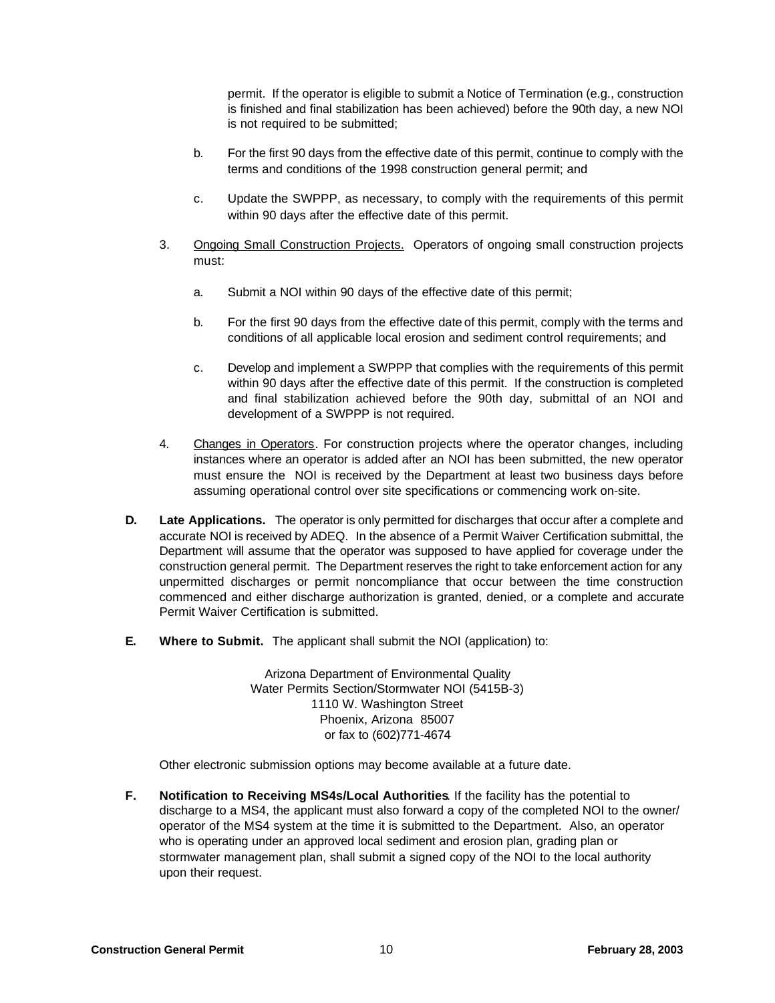permit. If the operator is eligible to submit a Notice of Termination (e.g., construction is finished and final stabilization has been achieved) before the 90th day, a new NOI is not required to be submitted;

- b. For the first 90 days from the effective date of this permit, continue to comply with the terms and conditions of the 1998 construction general permit; and
- c. Update the SWPPP, as necessary, to comply with the requirements of this permit within 90 days after the effective date of this permit.
- 3. Ongoing Small Construction Projects. Operators of ongoing small construction projects must:
	- a. Submit a NOI within 90 days of the effective date of this permit;
	- b. For the first 90 days from the effective date of this permit, comply with the terms and conditions of all applicable local erosion and sediment control requirements; and
	- c. Develop and implement a SWPPP that complies with the requirements of this permit within 90 days after the effective date of this permit. If the construction is completed and final stabilization achieved before the 90th day, submittal of an NOI and development of a SWPPP is not required.
- 4. Changes in Operators. For construction projects where the operator changes, including instances where an operator is added after an NOI has been submitted, the new operator must ensure the NOI is received by the Department at least two business days before assuming operational control over site specifications or commencing work on-site.
- **D. Late Applications.** The operator is only permitted for discharges that occur after a complete and accurate NOI is received by ADEQ. In the absence of a Permit Waiver Certification submittal, the Department will assume that the operator was supposed to have applied for coverage under the construction general permit. The Department reserves the right to take enforcement action for any unpermitted discharges or permit noncompliance that occur between the time construction commenced and either discharge authorization is granted, denied, or a complete and accurate Permit Waiver Certification is submitted.
- **E. Where to Submit.** The applicant shall submit the NOI (application) to:

Arizona Department of Environmental Quality Water Permits Section/Stormwater NOI (5415B-3) 1110 W. Washington Street Phoenix, Arizona 85007 or fax to (602)771-4674

Other electronic submission options may become available at a future date.

**F. Notification to Receiving MS4s/Local Authorities**. If the facility has the potential to discharge to a MS4, the applicant must also forward a copy of the completed NOI to the owner/ operator of the MS4 system at the time it is submitted to the Department. Also, an operator who is operating under an approved local sediment and erosion plan, grading plan or stormwater management plan, shall submit a signed copy of the NOI to the local authority upon their request.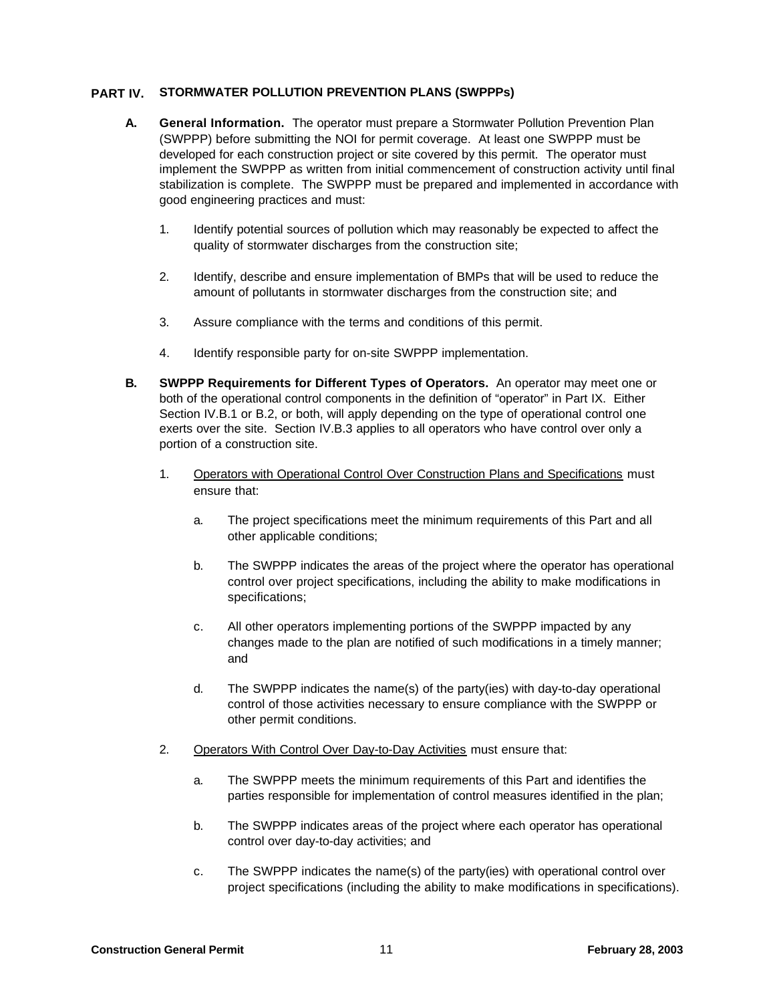#### **PART IV. STORMWATER POLLUTION PREVENTION PLANS (SWPPPs)**

- **A. General Information.** The operator must prepare a Stormwater Pollution Prevention Plan (SWPPP) before submitting the NOI for permit coverage. At least one SWPPP must be developed for each construction project or site covered by this permit. The operator must implement the SWPPP as written from initial commencement of construction activity until final stabilization is complete. The SWPPP must be prepared and implemented in accordance with good engineering practices and must:
	- 1. Identify potential sources of pollution which may reasonably be expected to affect the quality of stormwater discharges from the construction site;
	- 2. Identify, describe and ensure implementation of BMPs that will be used to reduce the amount of pollutants in stormwater discharges from the construction site; and
	- 3. Assure compliance with the terms and conditions of this permit.
	- 4. Identify responsible party for on-site SWPPP implementation.
- **B. SWPPP Requirements for Different Types of Operators.** An operator may meet one or both of the operational control components in the definition of "operator" in Part IX. Either Section IV.B.1 or B.2, or both, will apply depending on the type of operational control one exerts over the site. Section IV.B.3 applies to all operators who have control over only a portion of a construction site.
	- 1. Operators with Operational Control Over Construction Plans and Specifications must ensure that:
		- a. The project specifications meet the minimum requirements of this Part and all other applicable conditions;
		- b. The SWPPP indicates the areas of the project where the operator has operational control over project specifications, including the ability to make modifications in specifications;
		- c. All other operators implementing portions of the SWPPP impacted by any changes made to the plan are notified of such modifications in a timely manner; and
		- d. The SWPPP indicates the name(s) of the party(ies) with day-to-day operational control of those activities necessary to ensure compliance with the SWPPP or other permit conditions.
	- 2. Operators With Control Over Day-to-Day Activities must ensure that:
		- a. The SWPPP meets the minimum requirements of this Part and identifies the parties responsible for implementation of control measures identified in the plan;
		- b. The SWPPP indicates areas of the project where each operator has operational control over day-to-day activities; and
		- c. The SWPPP indicates the name(s) of the party(ies) with operational control over project specifications (including the ability to make modifications in specifications).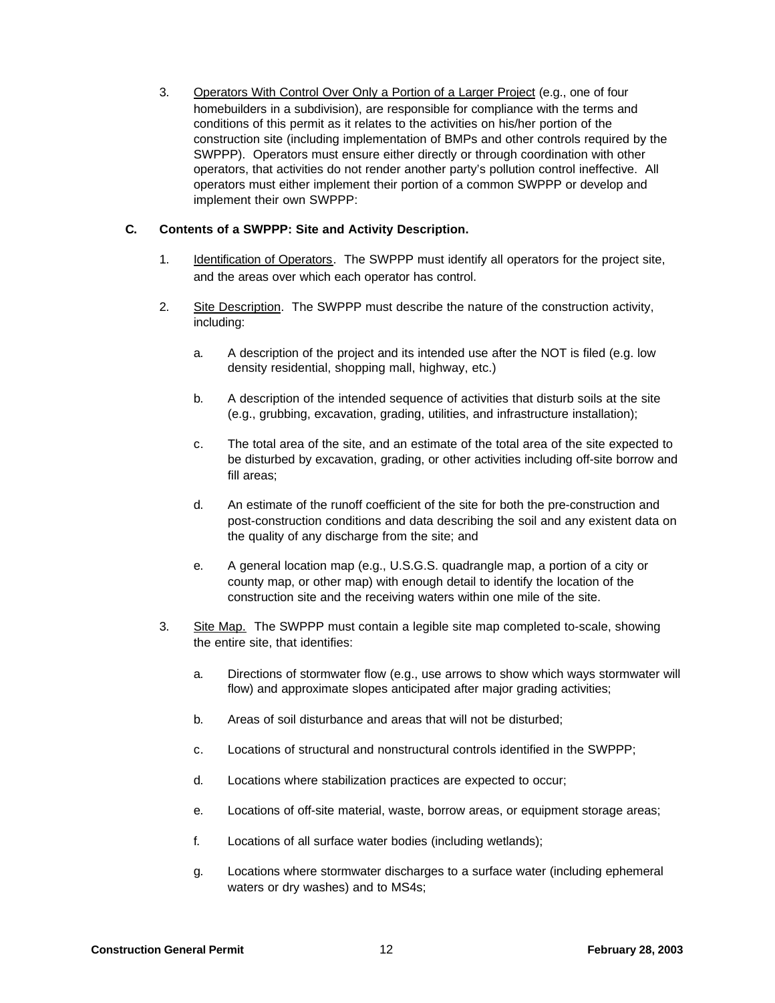3. Operators With Control Over Only a Portion of a Larger Project (e.g., one of four homebuilders in a subdivision), are responsible for compliance with the terms and conditions of this permit as it relates to the activities on his/her portion of the construction site (including implementation of BMPs and other controls required by the SWPPP). Operators must ensure either directly or through coordination with other operators, that activities do not render another party's pollution control ineffective. All operators must either implement their portion of a common SWPPP or develop and implement their own SWPPP:

# **C. Contents of a SWPPP: Site and Activity Description.**

- 1. Identification of Operators. The SWPPP must identify all operators for the project site, and the areas over which each operator has control.
- 2. Site Description. The SWPPP must describe the nature of the construction activity, including:
	- a. A description of the project and its intended use after the NOT is filed (e.g. low density residential, shopping mall, highway, etc.)
	- b. A description of the intended sequence of activities that disturb soils at the site (e.g., grubbing, excavation, grading, utilities, and infrastructure installation);
	- c. The total area of the site, and an estimate of the total area of the site expected to be disturbed by excavation, grading, or other activities including off-site borrow and fill areas;
	- d. An estimate of the runoff coefficient of the site for both the pre-construction and post-construction conditions and data describing the soil and any existent data on the quality of any discharge from the site; and
	- e. A general location map (e.g., U.S.G.S. quadrangle map, a portion of a city or county map, or other map) with enough detail to identify the location of the construction site and the receiving waters within one mile of the site.
- 3. Site Map. The SWPPP must contain a legible site map completed to-scale, showing the entire site, that identifies:
	- a. Directions of stormwater flow (e.g., use arrows to show which ways stormwater will flow) and approximate slopes anticipated after major grading activities;
	- b. Areas of soil disturbance and areas that will not be disturbed;
	- c. Locations of structural and nonstructural controls identified in the SWPPP;
	- d. Locations where stabilization practices are expected to occur;
	- e. Locations of off-site material, waste, borrow areas, or equipment storage areas;
	- f. Locations of all surface water bodies (including wetlands);
	- g. Locations where stormwater discharges to a surface water (including ephemeral waters or dry washes) and to MS4s;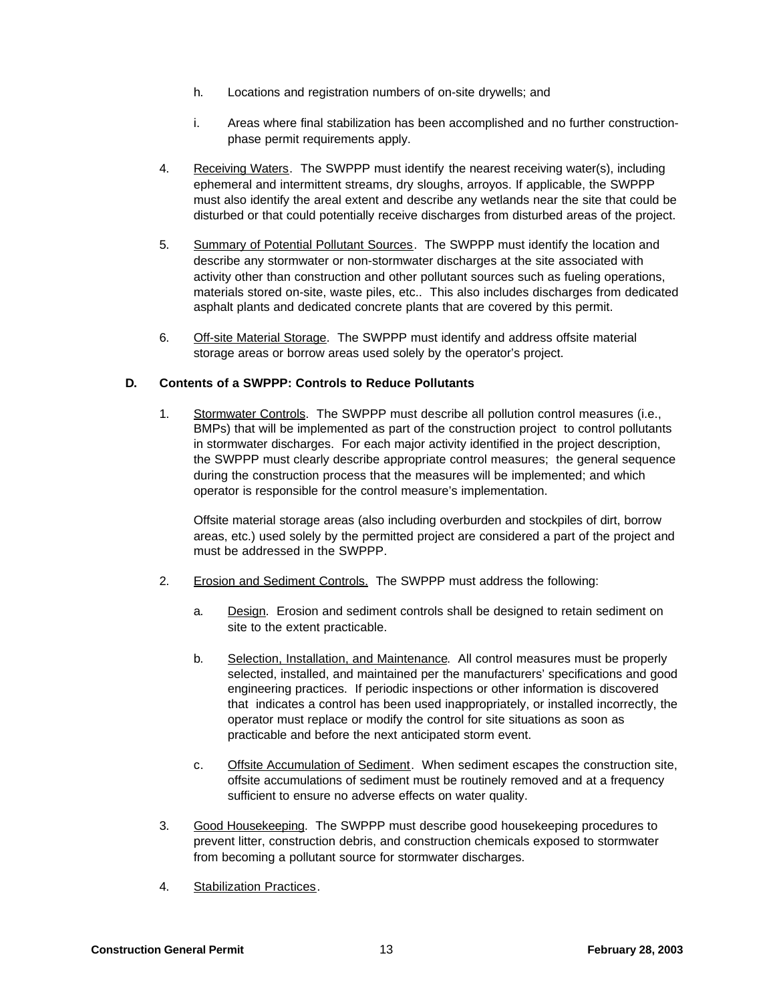- h. Locations and registration numbers of on-site drywells; and
- i. Areas where final stabilization has been accomplished and no further constructionphase permit requirements apply.
- 4. Receiving Waters. The SWPPP must identify the nearest receiving water(s), including ephemeral and intermittent streams, dry sloughs, arroyos. If applicable, the SWPPP must also identify the areal extent and describe any wetlands near the site that could be disturbed or that could potentially receive discharges from disturbed areas of the project.
- 5. Summary of Potential Pollutant Sources. The SWPPP must identify the location and describe any stormwater or non-stormwater discharges at the site associated with activity other than construction and other pollutant sources such as fueling operations, materials stored on-site, waste piles, etc.. This also includes discharges from dedicated asphalt plants and dedicated concrete plants that are covered by this permit.
- 6. Off-site Material Storage. The SWPPP must identify and address offsite material storage areas or borrow areas used solely by the operator's project.

# **D. Contents of a SWPPP: Controls to Reduce Pollutants**

1. Stormwater Controls. The SWPPP must describe all pollution control measures (i.e., BMPs) that will be implemented as part of the construction project to control pollutants in stormwater discharges. For each major activity identified in the project description, the SWPPP must clearly describe appropriate control measures; the general sequence during the construction process that the measures will be implemented; and which operator is responsible for the control measure's implementation.

Offsite material storage areas (also including overburden and stockpiles of dirt, borrow areas, etc.) used solely by the permitted project are considered a part of the project and must be addressed in the SWPPP.

- 2. Erosion and Sediment Controls. The SWPPP must address the following:
	- a. Design. Erosion and sediment controls shall be designed to retain sediment on site to the extent practicable.
	- b. Selection, Installation, and Maintenance. All control measures must be properly selected, installed, and maintained per the manufacturers' specifications and good engineering practices. If periodic inspections or other information is discovered that indicates a control has been used inappropriately, or installed incorrectly, the operator must replace or modify the control for site situations as soon as practicable and before the next anticipated storm event.
	- c. Offsite Accumulation of Sediment. When sediment escapes the construction site, offsite accumulations of sediment must be routinely removed and at a frequency sufficient to ensure no adverse effects on water quality.
- 3. Good Housekeeping. The SWPPP must describe good housekeeping procedures to prevent litter, construction debris, and construction chemicals exposed to stormwater from becoming a pollutant source for stormwater discharges.
- 4. Stabilization Practices.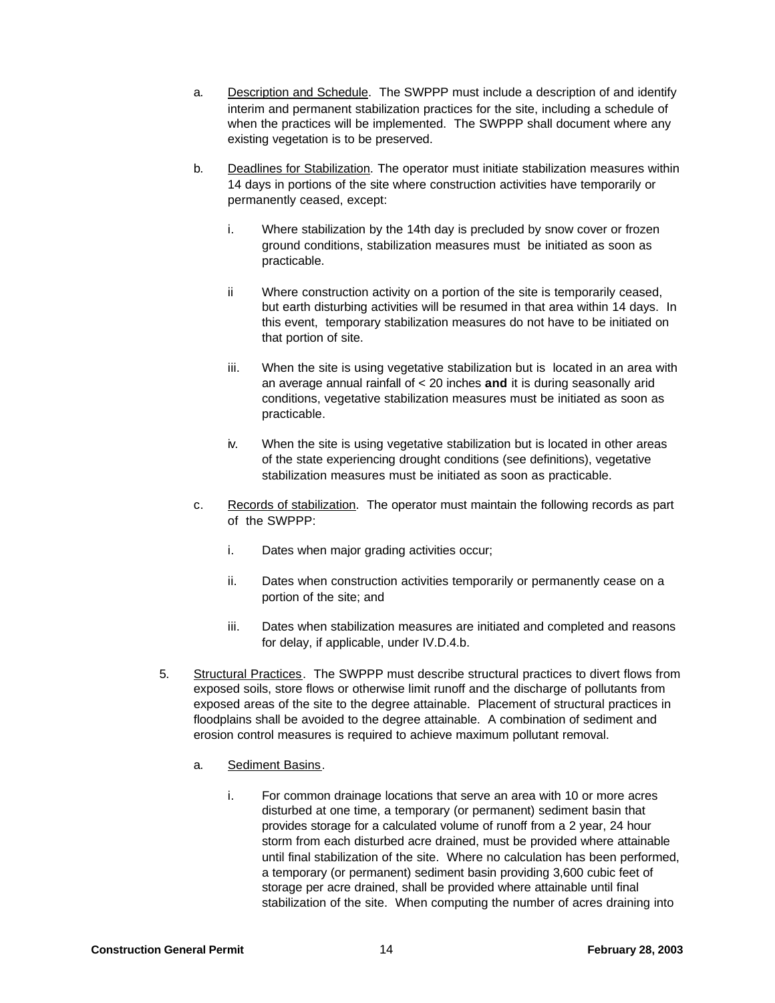- a. Description and Schedule. The SWPPP must include a description of and identify interim and permanent stabilization practices for the site, including a schedule of when the practices will be implemented. The SWPPP shall document where any existing vegetation is to be preserved.
- b. Deadlines for Stabilization. The operator must initiate stabilization measures within 14 days in portions of the site where construction activities have temporarily or permanently ceased, except:
	- i. Where stabilization by the 14th day is precluded by snow cover or frozen ground conditions, stabilization measures must be initiated as soon as practicable.
	- ii Where construction activity on a portion of the site is temporarily ceased, but earth disturbing activities will be resumed in that area within 14 days. In this event, temporary stabilization measures do not have to be initiated on that portion of site.
	- iii. When the site is using vegetative stabilization but is located in an area with an average annual rainfall of < 20 inches **and** it is during seasonally arid conditions, vegetative stabilization measures must be initiated as soon as practicable.
	- iv. When the site is using vegetative stabilization but is located in other areas of the state experiencing drought conditions (see definitions), vegetative stabilization measures must be initiated as soon as practicable.
- c. Records of stabilization. The operator must maintain the following records as part of the SWPPP:
	- i. Dates when major grading activities occur;
	- ii. Dates when construction activities temporarily or permanently cease on a portion of the site; and
	- iii. Dates when stabilization measures are initiated and completed and reasons for delay, if applicable, under IV.D.4.b.
- 5. Structural Practices. The SWPPP must describe structural practices to divert flows from exposed soils, store flows or otherwise limit runoff and the discharge of pollutants from exposed areas of the site to the degree attainable. Placement of structural practices in floodplains shall be avoided to the degree attainable. A combination of sediment and erosion control measures is required to achieve maximum pollutant removal.
	- a. Sediment Basins.
		- i. For common drainage locations that serve an area with 10 or more acres disturbed at one time, a temporary (or permanent) sediment basin that provides storage for a calculated volume of runoff from a 2 year, 24 hour storm from each disturbed acre drained, must be provided where attainable until final stabilization of the site. Where no calculation has been performed, a temporary (or permanent) sediment basin providing 3,600 cubic feet of storage per acre drained, shall be provided where attainable until final stabilization of the site. When computing the number of acres draining into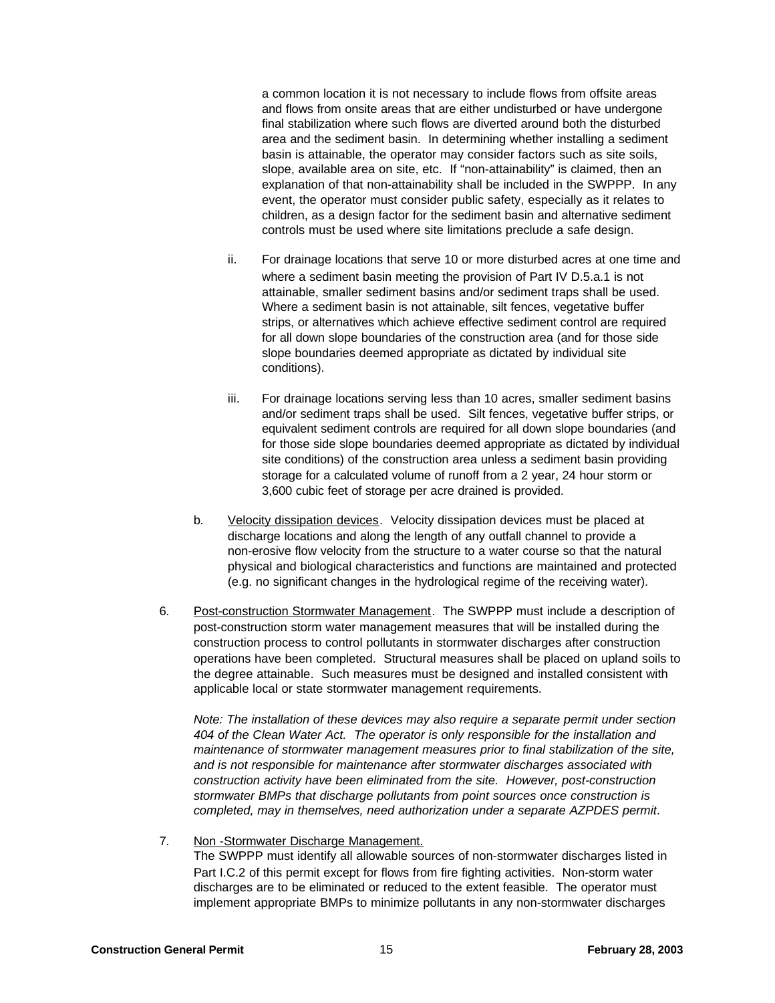a common location it is not necessary to include flows from offsite areas and flows from onsite areas that are either undisturbed or have undergone final stabilization where such flows are diverted around both the disturbed area and the sediment basin. In determining whether installing a sediment basin is attainable, the operator may consider factors such as site soils, slope, available area on site, etc. If "non-attainability" is claimed, then an explanation of that non-attainability shall be included in the SWPPP. In any event, the operator must consider public safety, especially as it relates to children, as a design factor for the sediment basin and alternative sediment controls must be used where site limitations preclude a safe design.

- ii. For drainage locations that serve 10 or more disturbed acres at one time and where a sediment basin meeting the provision of Part IV D.5.a.1 is not attainable, smaller sediment basins and/or sediment traps shall be used. Where a sediment basin is not attainable, silt fences, vegetative buffer strips, or alternatives which achieve effective sediment control are required for all down slope boundaries of the construction area (and for those side slope boundaries deemed appropriate as dictated by individual site conditions).
- iii. For drainage locations serving less than 10 acres, smaller sediment basins and/or sediment traps shall be used. Silt fences, vegetative buffer strips, or equivalent sediment controls are required for all down slope boundaries (and for those side slope boundaries deemed appropriate as dictated by individual site conditions) of the construction area unless a sediment basin providing storage for a calculated volume of runoff from a 2 year, 24 hour storm or 3,600 cubic feet of storage per acre drained is provided.
- b. Velocity dissipation devices. Velocity dissipation devices must be placed at discharge locations and along the length of any outfall channel to provide a non-erosive flow velocity from the structure to a water course so that the natural physical and biological characteristics and functions are maintained and protected (e.g. no significant changes in the hydrological regime of the receiving water).
- 6. Post-construction Stormwater Management. The SWPPP must include a description of post-construction storm water management measures that will be installed during the construction process to control pollutants in stormwater discharges after construction operations have been completed. Structural measures shall be placed on upland soils to the degree attainable. Such measures must be designed and installed consistent with applicable local or state stormwater management requirements.

*Note: The installation of these devices may also require a separate permit under section 404 of the Clean Water Act. The operator is only responsible for the installation and maintenance of stormwater management measures prior to final stabilization of the site, and is not responsible for maintenance after stormwater discharges associated with construction activity have been eliminated from the site. However, post-construction stormwater BMPs that discharge pollutants from point sources once construction is completed, may in themselves, need authorization under a separate AZPDES permit*.

7. Non -Stormwater Discharge Management. The SWPPP must identify all allowable sources of non-stormwater discharges listed in Part I.C.2 of this permit except for flows from fire fighting activities. Non-storm water discharges are to be eliminated or reduced to the extent feasible. The operator must implement appropriate BMPs to minimize pollutants in any non-stormwater discharges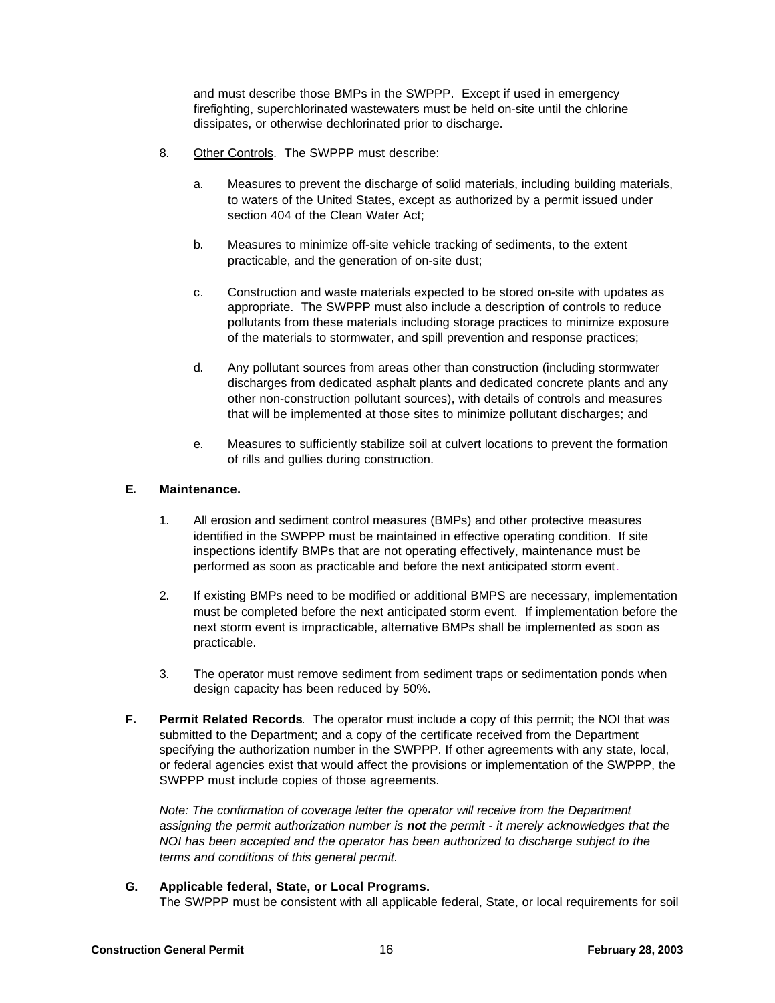and must describe those BMPs in the SWPPP. Except if used in emergency firefighting, superchlorinated wastewaters must be held on-site until the chlorine dissipates, or otherwise dechlorinated prior to discharge.

- 8. Other Controls. The SWPPP must describe:
	- a. Measures to prevent the discharge of solid materials, including building materials, to waters of the United States, except as authorized by a permit issued under section 404 of the Clean Water Act;
	- b. Measures to minimize off-site vehicle tracking of sediments, to the extent practicable, and the generation of on-site dust;
	- c. Construction and waste materials expected to be stored on-site with updates as appropriate. The SWPPP must also include a description of controls to reduce pollutants from these materials including storage practices to minimize exposure of the materials to stormwater, and spill prevention and response practices;
	- d. Any pollutant sources from areas other than construction (including stormwater discharges from dedicated asphalt plants and dedicated concrete plants and any other non-construction pollutant sources), with details of controls and measures that will be implemented at those sites to minimize pollutant discharges; and
	- e. Measures to sufficiently stabilize soil at culvert locations to prevent the formation of rills and gullies during construction.

## **E. Maintenance.**

- 1. All erosion and sediment control measures (BMPs) and other protective measures identified in the SWPPP must be maintained in effective operating condition. If site inspections identify BMPs that are not operating effectively, maintenance must be performed as soon as practicable and before the next anticipated storm event.
- 2. If existing BMPs need to be modified or additional BMPS are necessary, implementation must be completed before the next anticipated storm event. If implementation before the next storm event is impracticable, alternative BMPs shall be implemented as soon as practicable.
- 3. The operator must remove sediment from sediment traps or sedimentation ponds when design capacity has been reduced by 50%.
- **F. Permit Related Records**. The operator must include a copy of this permit; the NOI that was submitted to the Department; and a copy of the certificate received from the Department specifying the authorization number in the SWPPP. If other agreements with any state, local, or federal agencies exist that would affect the provisions or implementation of the SWPPP, the SWPPP must include copies of those agreements.

*Note: The confirmation of coverage letter the operator will receive from the Department assigning the permit authorization number is not the permit - it merely acknowledges that the NOI has been accepted and the operator has been authorized to discharge subject to the terms and conditions of this general permit.*

#### **G. Applicable federal, State, or Local Programs.**

The SWPPP must be consistent with all applicable federal, State, or local requirements for soil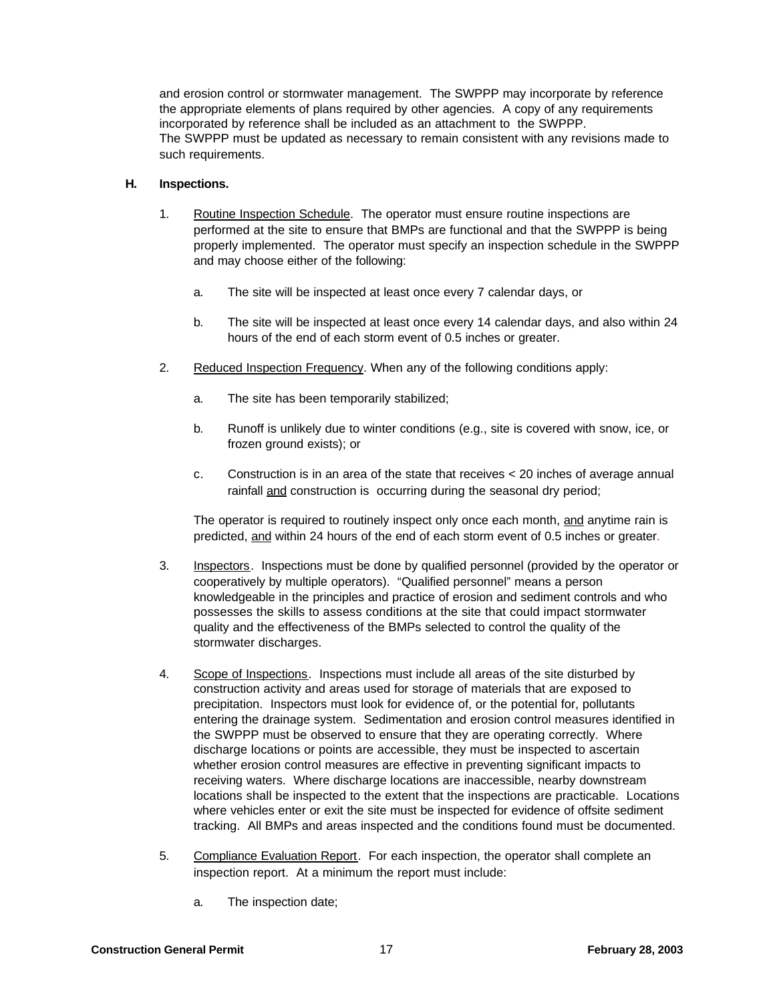and erosion control or stormwater management. The SWPPP may incorporate by reference the appropriate elements of plans required by other agencies. A copy of any requirements incorporated by reference shall be included as an attachment to the SWPPP. The SWPPP must be updated as necessary to remain consistent with any revisions made to such requirements.

#### **H. Inspections.**

- 1. Routine Inspection Schedule. The operator must ensure routine inspections are performed at the site to ensure that BMPs are functional and that the SWPPP is being properly implemented. The operator must specify an inspection schedule in the SWPPP and may choose either of the following:
	- a. The site will be inspected at least once every 7 calendar days, or
	- b. The site will be inspected at least once every 14 calendar days, and also within 24 hours of the end of each storm event of 0.5 inches or greater.
- 2. Reduced Inspection Frequency. When any of the following conditions apply:
	- a. The site has been temporarily stabilized;
	- b. Runoff is unlikely due to winter conditions (e.g., site is covered with snow, ice, or frozen ground exists); or
	- c. Construction is in an area of the state that receives < 20 inches of average annual rainfall and construction is occurring during the seasonal dry period;

The operator is required to routinely inspect only once each month, and anytime rain is predicted, and within 24 hours of the end of each storm event of 0.5 inches or greater.

- 3. Inspectors. Inspections must be done by qualified personnel (provided by the operator or cooperatively by multiple operators). "Qualified personnel" means a person knowledgeable in the principles and practice of erosion and sediment controls and who possesses the skills to assess conditions at the site that could impact stormwater quality and the effectiveness of the BMPs selected to control the quality of the stormwater discharges.
- 4. Scope of Inspections. Inspections must include all areas of the site disturbed by construction activity and areas used for storage of materials that are exposed to precipitation. Inspectors must look for evidence of, or the potential for, pollutants entering the drainage system. Sedimentation and erosion control measures identified in the SWPPP must be observed to ensure that they are operating correctly. Where discharge locations or points are accessible, they must be inspected to ascertain whether erosion control measures are effective in preventing significant impacts to receiving waters. Where discharge locations are inaccessible, nearby downstream locations shall be inspected to the extent that the inspections are practicable. Locations where vehicles enter or exit the site must be inspected for evidence of offsite sediment tracking. All BMPs and areas inspected and the conditions found must be documented.
- 5. Compliance Evaluation Report. For each inspection, the operator shall complete an inspection report. At a minimum the report must include:
	- a. The inspection date;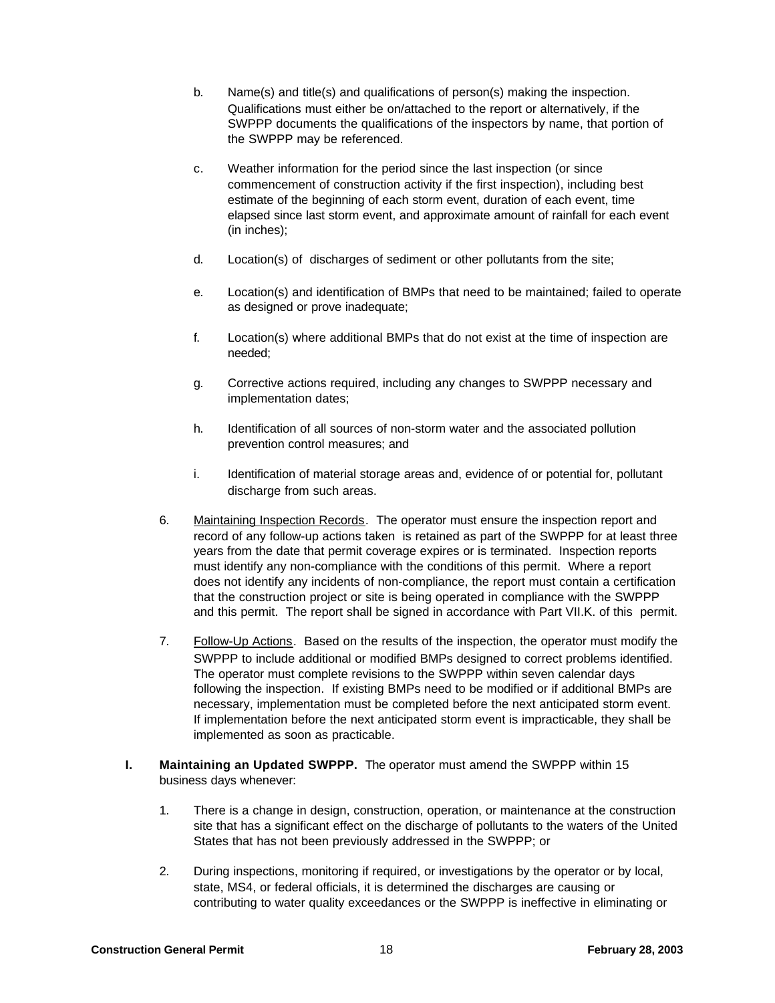- b. Name(s) and title(s) and qualifications of person(s) making the inspection. Qualifications must either be on/attached to the report or alternatively, if the SWPPP documents the qualifications of the inspectors by name, that portion of the SWPPP may be referenced.
- c. Weather information for the period since the last inspection (or since commencement of construction activity if the first inspection), including best estimate of the beginning of each storm event, duration of each event, time elapsed since last storm event, and approximate amount of rainfall for each event (in inches);
- d. Location(s) of discharges of sediment or other pollutants from the site;
- e. Location(s) and identification of BMPs that need to be maintained; failed to operate as designed or prove inadequate;
- f. Location(s) where additional BMPs that do not exist at the time of inspection are needed;
- g. Corrective actions required, including any changes to SWPPP necessary and implementation dates;
- h. Identification of all sources of non-storm water and the associated pollution prevention control measures; and
- i. Identification of material storage areas and, evidence of or potential for, pollutant discharge from such areas.
- 6. Maintaining Inspection Records. The operator must ensure the inspection report and record of any follow-up actions taken is retained as part of the SWPPP for at least three years from the date that permit coverage expires or is terminated. Inspection reports must identify any non-compliance with the conditions of this permit. Where a report does not identify any incidents of non-compliance, the report must contain a certification that the construction project or site is being operated in compliance with the SWPPP and this permit. The report shall be signed in accordance with Part VII.K. of this permit.
- 7. Follow-Up Actions. Based on the results of the inspection, the operator must modify the SWPPP to include additional or modified BMPs designed to correct problems identified. The operator must complete revisions to the SWPPP within seven calendar days following the inspection. If existing BMPs need to be modified or if additional BMPs are necessary, implementation must be completed before the next anticipated storm event. If implementation before the next anticipated storm event is impracticable, they shall be implemented as soon as practicable.
- **I. Maintaining an Updated SWPPP.** The operator must amend the SWPPP within 15 business days whenever:
	- 1. There is a change in design, construction, operation, or maintenance at the construction site that has a significant effect on the discharge of pollutants to the waters of the United States that has not been previously addressed in the SWPPP; or
	- 2. During inspections, monitoring if required, or investigations by the operator or by local, state, MS4, or federal officials, it is determined the discharges are causing or contributing to water quality exceedances or the SWPPP is ineffective in eliminating or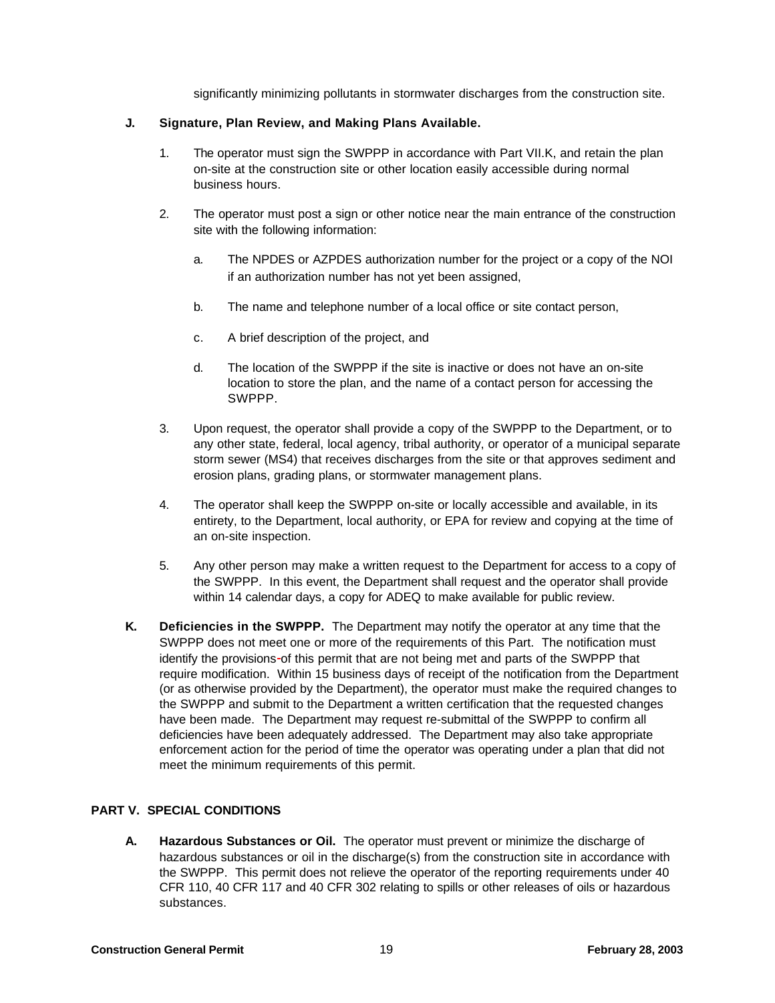significantly minimizing pollutants in stormwater discharges from the construction site.

#### **J. Signature, Plan Review, and Making Plans Available.**

- 1. The operator must sign the SWPPP in accordance with Part VII.K, and retain the plan on-site at the construction site or other location easily accessible during normal business hours.
- 2. The operator must post a sign or other notice near the main entrance of the construction site with the following information:
	- a. The NPDES or AZPDES authorization number for the project or a copy of the NOI if an authorization number has not yet been assigned,
	- b. The name and telephone number of a local office or site contact person,
	- c. A brief description of the project, and
	- d. The location of the SWPPP if the site is inactive or does not have an on-site location to store the plan, and the name of a contact person for accessing the SWPPP.
- 3. Upon request, the operator shall provide a copy of the SWPPP to the Department, or to any other state, federal, local agency, tribal authority, or operator of a municipal separate storm sewer (MS4) that receives discharges from the site or that approves sediment and erosion plans, grading plans, or stormwater management plans.
- 4. The operator shall keep the SWPPP on-site or locally accessible and available, in its entirety, to the Department, local authority, or EPA for review and copying at the time of an on-site inspection.
- 5. Any other person may make a written request to the Department for access to a copy of the SWPPP. In this event, the Department shall request and the operator shall provide within 14 calendar days, a copy for ADEQ to make available for public review.
- **K. Deficiencies in the SWPPP.** The Department may notify the operator at any time that the SWPPP does not meet one or more of the requirements of this Part. The notification must identify the provisions-of this permit that are not being met and parts of the SWPPP that require modification. Within 15 business days of receipt of the notification from the Department (or as otherwise provided by the Department), the operator must make the required changes to the SWPPP and submit to the Department a written certification that the requested changes have been made. The Department may request re-submittal of the SWPPP to confirm all deficiencies have been adequately addressed. The Department may also take appropriate enforcement action for the period of time the operator was operating under a plan that did not meet the minimum requirements of this permit.

# **PART V. SPECIAL CONDITIONS**

**A. Hazardous Substances or Oil.** The operator must prevent or minimize the discharge of hazardous substances or oil in the discharge(s) from the construction site in accordance with the SWPPP. This permit does not relieve the operator of the reporting requirements under 40 CFR 110, 40 CFR 117 and 40 CFR 302 relating to spills or other releases of oils or hazardous substances.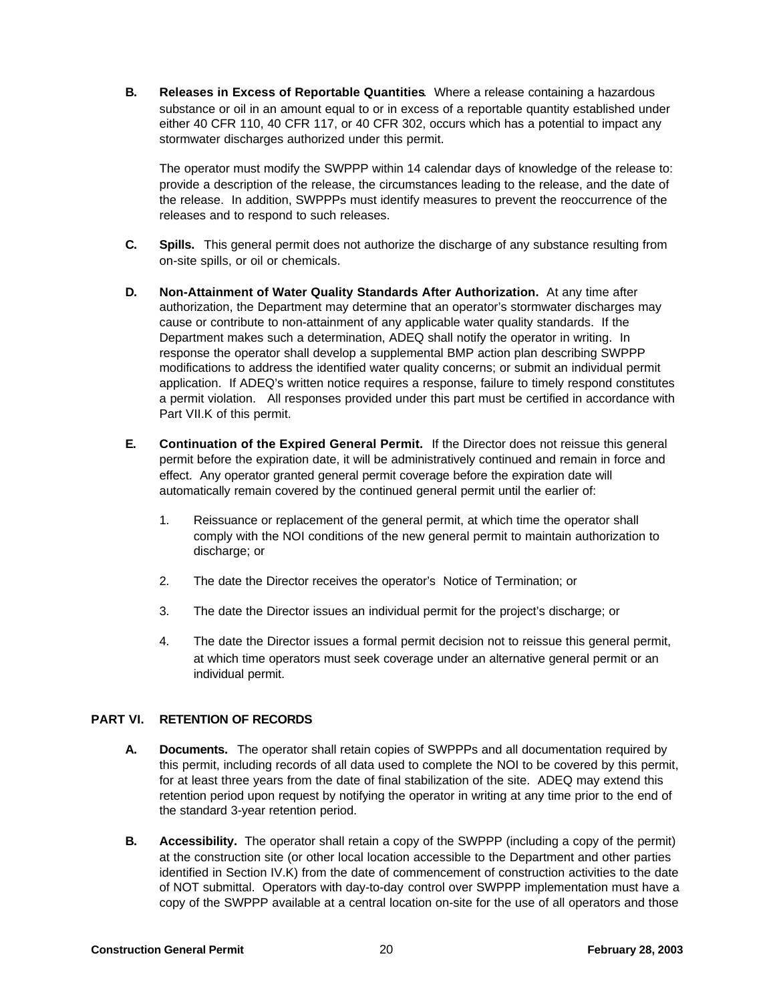**B. Releases in Excess of Reportable Quantities**. Where a release containing a hazardous substance or oil in an amount equal to or in excess of a reportable quantity established under either 40 CFR 110, 40 CFR 117, or 40 CFR 302, occurs which has a potential to impact any stormwater discharges authorized under this permit.

The operator must modify the SWPPP within 14 calendar days of knowledge of the release to: provide a description of the release, the circumstances leading to the release, and the date of the release. In addition, SWPPPs must identify measures to prevent the reoccurrence of the releases and to respond to such releases.

- **C. Spills.** This general permit does not authorize the discharge of any substance resulting from on-site spills, or oil or chemicals.
- **D. Non-Attainment of Water Quality Standards After Authorization.** At any time after authorization, the Department may determine that an operator's stormwater discharges may cause or contribute to non-attainment of any applicable water quality standards. If the Department makes such a determination, ADEQ shall notify the operator in writing. In response the operator shall develop a supplemental BMP action plan describing SWPPP modifications to address the identified water quality concerns; or submit an individual permit application. If ADEQ's written notice requires a response, failure to timely respond constitutes a permit violation. All responses provided under this part must be certified in accordance with Part VII.K of this permit.
- **E. Continuation of the Expired General Permit.** If the Director does not reissue this general permit before the expiration date, it will be administratively continued and remain in force and effect. Any operator granted general permit coverage before the expiration date will automatically remain covered by the continued general permit until the earlier of:
	- 1. Reissuance or replacement of the general permit, at which time the operator shall comply with the NOI conditions of the new general permit to maintain authorization to discharge; or
	- 2. The date the Director receives the operator's Notice of Termination; or
	- 3. The date the Director issues an individual permit for the project's discharge; or
	- 4. The date the Director issues a formal permit decision not to reissue this general permit, at which time operators must seek coverage under an alternative general permit or an individual permit.

# **PART VI. RETENTION OF RECORDS**

- **A. Documents.** The operator shall retain copies of SWPPPs and all documentation required by this permit, including records of all data used to complete the NOI to be covered by this permit, for at least three years from the date of final stabilization of the site. ADEQ may extend this retention period upon request by notifying the operator in writing at any time prior to the end of the standard 3-year retention period.
- **B. Accessibility.** The operator shall retain a copy of the SWPPP (including a copy of the permit) at the construction site (or other local location accessible to the Department and other parties identified in Section IV.K) from the date of commencement of construction activities to the date of NOT submittal. Operators with day-to-day control over SWPPP implementation must have a copy of the SWPPP available at a central location on-site for the use of all operators and those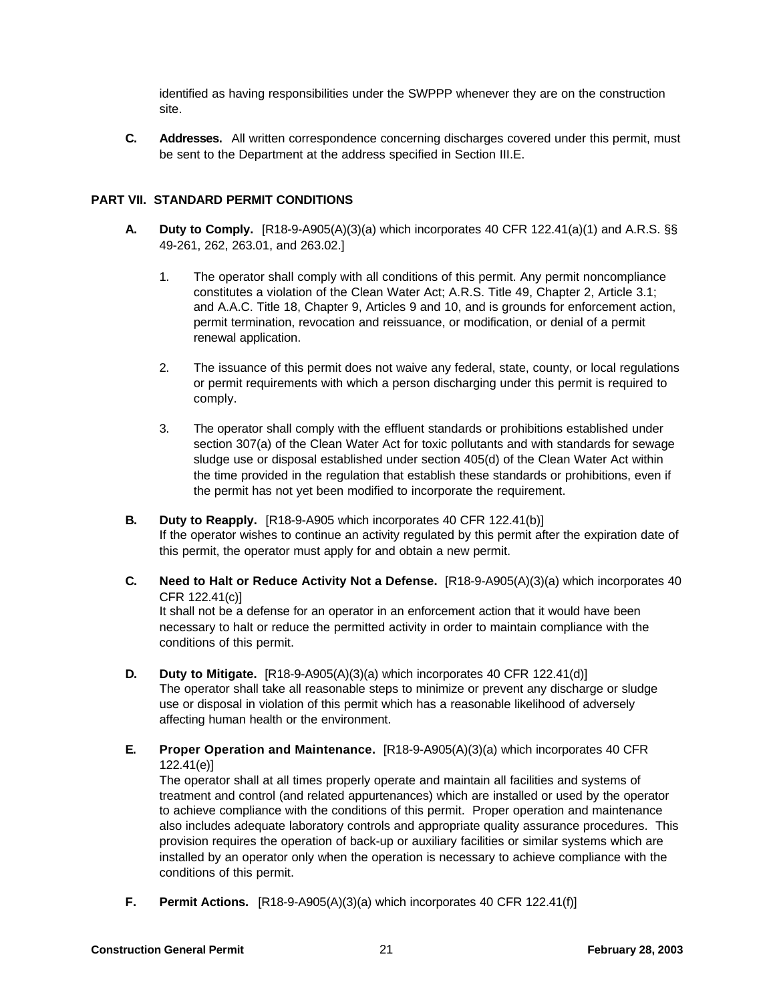identified as having responsibilities under the SWPPP whenever they are on the construction site.

**C. Addresses.** All written correspondence concerning discharges covered under this permit, must be sent to the Department at the address specified in Section III.E.

## **PART VII. STANDARD PERMIT CONDITIONS**

- **A. Duty to Comply.** [R18-9-A905(A)(3)(a) which incorporates 40 CFR 122.41(a)(1) and A.R.S. §§ 49-261, 262, 263.01, and 263.02.]
	- 1. The operator shall comply with all conditions of this permit. Any permit noncompliance constitutes a violation of the Clean Water Act; A.R.S. Title 49, Chapter 2, Article 3.1; and A.A.C. Title 18, Chapter 9, Articles 9 and 10, and is grounds for enforcement action, permit termination, revocation and reissuance, or modification, or denial of a permit renewal application.
	- 2. The issuance of this permit does not waive any federal, state, county, or local regulations or permit requirements with which a person discharging under this permit is required to comply.
	- 3. The operator shall comply with the effluent standards or prohibitions established under section 307(a) of the Clean Water Act for toxic pollutants and with standards for sewage sludge use or disposal established under section 405(d) of the Clean Water Act within the time provided in the regulation that establish these standards or prohibitions, even if the permit has not yet been modified to incorporate the requirement.
- **B. Duty to Reapply.** [R18-9-A905 which incorporates 40 CFR 122.41(b)] If the operator wishes to continue an activity regulated by this permit after the expiration date of this permit, the operator must apply for and obtain a new permit.
- **C. Need to Halt or Reduce Activity Not a Defense.** [R18-9-A905(A)(3)(a) which incorporates 40 CFR 122.41(c)]

It shall not be a defense for an operator in an enforcement action that it would have been necessary to halt or reduce the permitted activity in order to maintain compliance with the conditions of this permit.

- **D. Duty to Mitigate.** [R18-9-A905(A)(3)(a) which incorporates 40 CFR 122.41(d)] The operator shall take all reasonable steps to minimize or prevent any discharge or sludge use or disposal in violation of this permit which has a reasonable likelihood of adversely affecting human health or the environment.
- **E. Proper Operation and Maintenance.** [R18-9-A905(A)(3)(a) which incorporates 40 CFR 122.41(e)]

The operator shall at all times properly operate and maintain all facilities and systems of treatment and control (and related appurtenances) which are installed or used by the operator to achieve compliance with the conditions of this permit. Proper operation and maintenance also includes adequate laboratory controls and appropriate quality assurance procedures. This provision requires the operation of back-up or auxiliary facilities or similar systems which are installed by an operator only when the operation is necessary to achieve compliance with the conditions of this permit.

**F. Permit Actions.** [R18-9-A905(A)(3)(a) which incorporates 40 CFR 122.41(f)]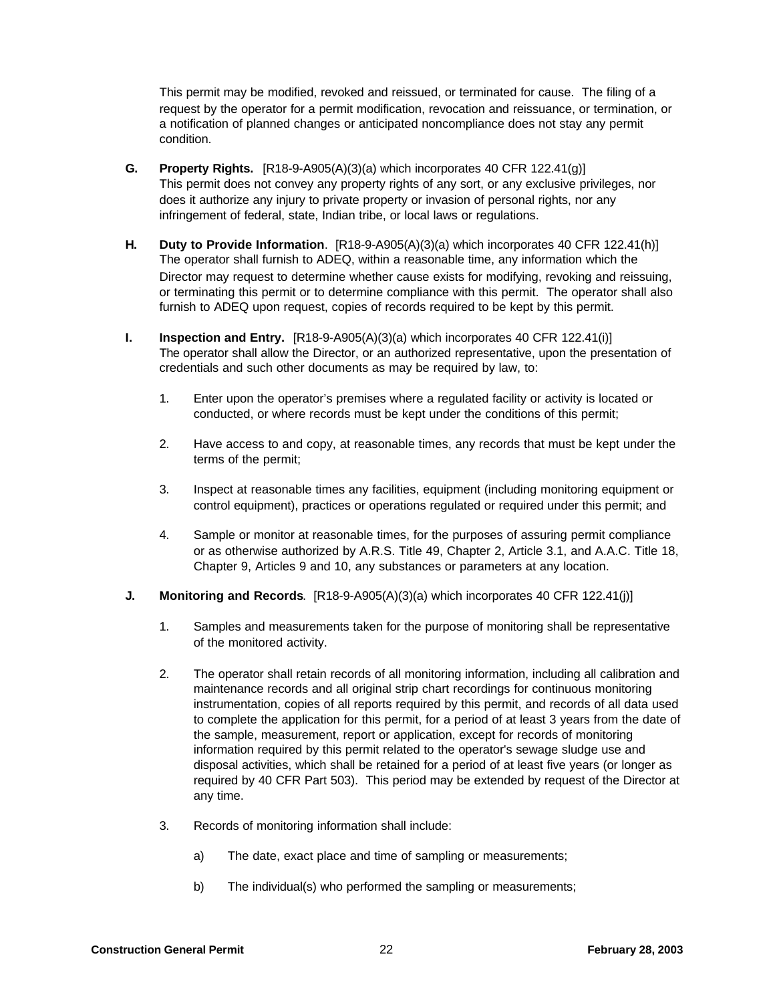This permit may be modified, revoked and reissued, or terminated for cause. The filing of a request by the operator for a permit modification, revocation and reissuance, or termination, or a notification of planned changes or anticipated noncompliance does not stay any permit condition.

- **G. Property Rights.** [R18-9-A905(A)(3)(a) which incorporates 40 CFR 122.41(g)] This permit does not convey any property rights of any sort, or any exclusive privileges, nor does it authorize any injury to private property or invasion of personal rights, nor any infringement of federal, state, Indian tribe, or local laws or regulations.
- **H. Duty to Provide Information**. [R18-9-A905(A)(3)(a) which incorporates 40 CFR 122.41(h)] The operator shall furnish to ADEQ, within a reasonable time, any information which the Director may request to determine whether cause exists for modifying, revoking and reissuing, or terminating this permit or to determine compliance with this permit. The operator shall also furnish to ADEQ upon request, copies of records required to be kept by this permit.
- **I. Inspection and Entry.** [R18-9-A905(A)(3)(a) which incorporates 40 CFR 122.41(i)] The operator shall allow the Director, or an authorized representative, upon the presentation of credentials and such other documents as may be required by law, to:
	- 1. Enter upon the operator's premises where a regulated facility or activity is located or conducted, or where records must be kept under the conditions of this permit;
	- 2. Have access to and copy, at reasonable times, any records that must be kept under the terms of the permit;
	- 3. Inspect at reasonable times any facilities, equipment (including monitoring equipment or control equipment), practices or operations regulated or required under this permit; and
	- 4. Sample or monitor at reasonable times, for the purposes of assuring permit compliance or as otherwise authorized by A.R.S. Title 49, Chapter 2, Article 3.1, and A.A.C. Title 18, Chapter 9, Articles 9 and 10, any substances or parameters at any location.

#### **J. Monitoring and Records**. [R18-9-A905(A)(3)(a) which incorporates 40 CFR 122.41(j)]

- 1. Samples and measurements taken for the purpose of monitoring shall be representative of the monitored activity.
- 2. The operator shall retain records of all monitoring information, including all calibration and maintenance records and all original strip chart recordings for continuous monitoring instrumentation, copies of all reports required by this permit, and records of all data used to complete the application for this permit, for a period of at least 3 years from the date of the sample, measurement, report or application, except for records of monitoring information required by this permit related to the operator's sewage sludge use and disposal activities, which shall be retained for a period of at least five years (or longer as required by 40 CFR Part 503). This period may be extended by request of the Director at any time.
- 3. Records of monitoring information shall include:
	- a) The date, exact place and time of sampling or measurements;
	- b) The individual(s) who performed the sampling or measurements;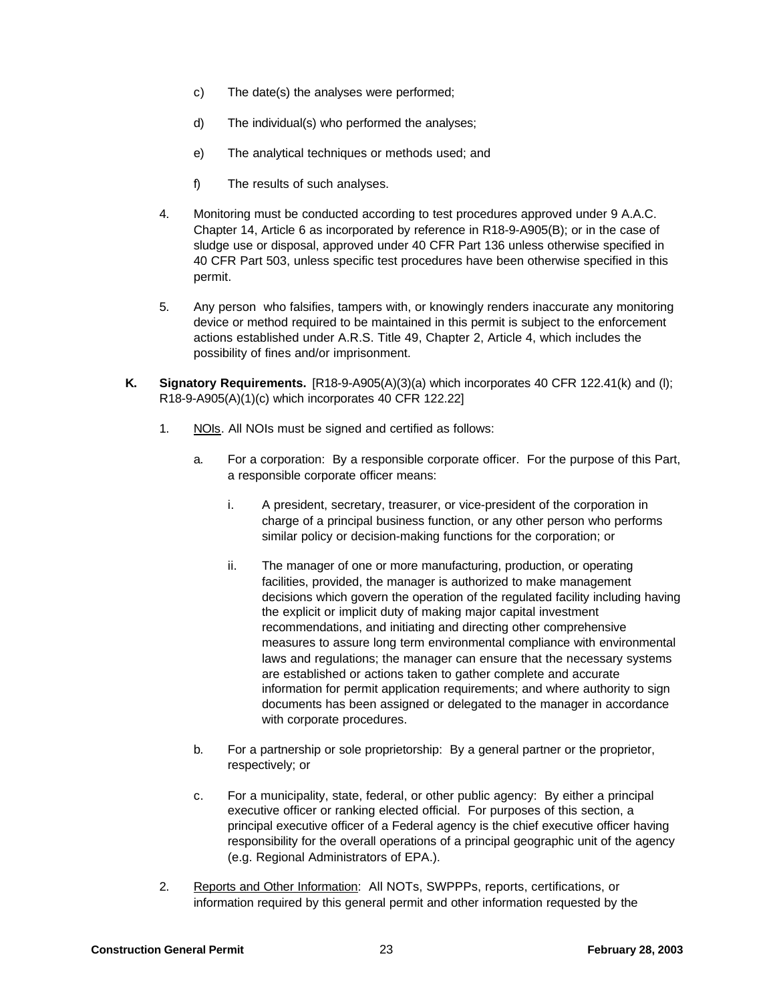- c) The date(s) the analyses were performed;
- d) The individual(s) who performed the analyses;
- e) The analytical techniques or methods used; and
- f) The results of such analyses.
- 4. Monitoring must be conducted according to test procedures approved under 9 A.A.C. Chapter 14, Article 6 as incorporated by reference in R18-9-A905(B); or in the case of sludge use or disposal, approved under 40 CFR Part 136 unless otherwise specified in 40 CFR Part 503, unless specific test procedures have been otherwise specified in this permit.
- 5. Any person who falsifies, tampers with, or knowingly renders inaccurate any monitoring device or method required to be maintained in this permit is subject to the enforcement actions established under A.R.S. Title 49, Chapter 2, Article 4, which includes the possibility of fines and/or imprisonment.
- **K. Signatory Requirements.** [R18-9-A905(A)(3)(a) which incorporates 40 CFR 122.41(k) and (l); R18-9-A905(A)(1)(c) which incorporates 40 CFR 122.22]
	- 1. NOIs. All NOIs must be signed and certified as follows:
		- a. For a corporation: By a responsible corporate officer. For the purpose of this Part, a responsible corporate officer means:
			- i. A president, secretary, treasurer, or vice-president of the corporation in charge of a principal business function, or any other person who performs similar policy or decision-making functions for the corporation; or
			- ii. The manager of one or more manufacturing, production, or operating facilities, provided, the manager is authorized to make management decisions which govern the operation of the regulated facility including having the explicit or implicit duty of making major capital investment recommendations, and initiating and directing other comprehensive measures to assure long term environmental compliance with environmental laws and regulations; the manager can ensure that the necessary systems are established or actions taken to gather complete and accurate information for permit application requirements; and where authority to sign documents has been assigned or delegated to the manager in accordance with corporate procedures.
		- b. For a partnership or sole proprietorship: By a general partner or the proprietor, respectively; or
		- c. For a municipality, state, federal, or other public agency: By either a principal executive officer or ranking elected official. For purposes of this section, a principal executive officer of a Federal agency is the chief executive officer having responsibility for the overall operations of a principal geographic unit of the agency (e.g. Regional Administrators of EPA.).
	- 2. Reports and Other Information: All NOTs, SWPPPs, reports, certifications, or information required by this general permit and other information requested by the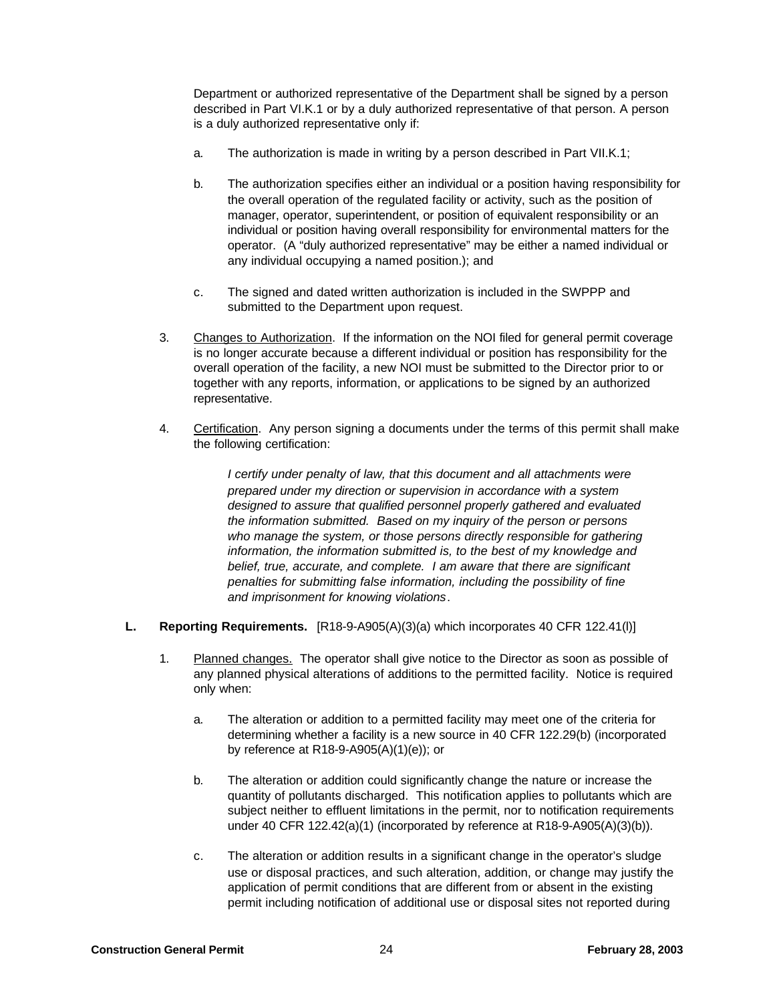Department or authorized representative of the Department shall be signed by a person described in Part VI.K.1 or by a duly authorized representative of that person. A person is a duly authorized representative only if:

- a. The authorization is made in writing by a person described in Part VII.K.1;
- b. The authorization specifies either an individual or a position having responsibility for the overall operation of the regulated facility or activity, such as the position of manager, operator, superintendent, or position of equivalent responsibility or an individual or position having overall responsibility for environmental matters for the operator. (A "duly authorized representative" may be either a named individual or any individual occupying a named position.); and
- c. The signed and dated written authorization is included in the SWPPP and submitted to the Department upon request.
- 3. Changes to Authorization. If the information on the NOI filed for general permit coverage is no longer accurate because a different individual or position has responsibility for the overall operation of the facility, a new NOI must be submitted to the Director prior to or together with any reports, information, or applications to be signed by an authorized representative.
- 4. Certification. Any person signing a documents under the terms of this permit shall make the following certification:

*I certify under penalty of law, that this document and all attachments were prepared under my direction or supervision in accordance with a system designed to assure that qualified personnel properly gathered and evaluated the information submitted. Based on my inquiry of the person or persons who manage the system, or those persons directly responsible for gathering information, the information submitted is, to the best of my knowledge and belief, true, accurate, and complete. I am aware that there are significant penalties for submitting false information, including the possibility of fine and imprisonment for knowing violations*.

- **L. Reporting Requirements.** [R18-9-A905(A)(3)(a) which incorporates 40 CFR 122.41(l)]
	- 1. Planned changes. The operator shall give notice to the Director as soon as possible of any planned physical alterations of additions to the permitted facility. Notice is required only when:
		- a. The alteration or addition to a permitted facility may meet one of the criteria for determining whether a facility is a new source in 40 CFR 122.29(b) (incorporated by reference at R18-9-A905(A)(1)(e)); or
		- b. The alteration or addition could significantly change the nature or increase the quantity of pollutants discharged. This notification applies to pollutants which are subject neither to effluent limitations in the permit, nor to notification requirements under 40 CFR 122.42(a)(1) (incorporated by reference at R18-9-A905(A)(3)(b)).
		- c. The alteration or addition results in a significant change in the operator's sludge use or disposal practices, and such alteration, addition, or change may justify the application of permit conditions that are different from or absent in the existing permit including notification of additional use or disposal sites not reported during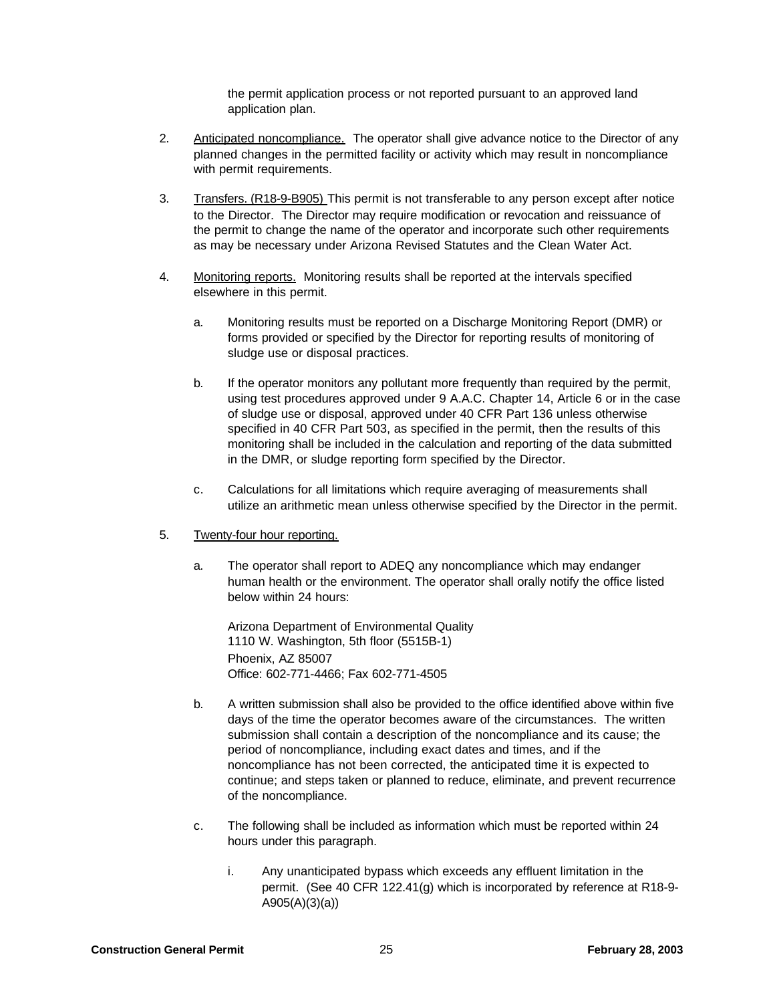the permit application process or not reported pursuant to an approved land application plan.

- 2. Anticipated noncompliance. The operator shall give advance notice to the Director of any planned changes in the permitted facility or activity which may result in noncompliance with permit requirements.
- 3. Transfers. (R18-9-B905) This permit is not transferable to any person except after notice to the Director. The Director may require modification or revocation and reissuance of the permit to change the name of the operator and incorporate such other requirements as may be necessary under Arizona Revised Statutes and the Clean Water Act.
- 4. Monitoring reports. Monitoring results shall be reported at the intervals specified elsewhere in this permit.
	- a. Monitoring results must be reported on a Discharge Monitoring Report (DMR) or forms provided or specified by the Director for reporting results of monitoring of sludge use or disposal practices.
	- b. If the operator monitors any pollutant more frequently than required by the permit, using test procedures approved under 9 A.A.C. Chapter 14, Article 6 or in the case of sludge use or disposal, approved under 40 CFR Part 136 unless otherwise specified in 40 CFR Part 503, as specified in the permit, then the results of this monitoring shall be included in the calculation and reporting of the data submitted in the DMR, or sludge reporting form specified by the Director.
	- c. Calculations for all limitations which require averaging of measurements shall utilize an arithmetic mean unless otherwise specified by the Director in the permit.
- 5. Twenty-four hour reporting.
	- a. The operator shall report to ADEQ any noncompliance which may endanger human health or the environment. The operator shall orally notify the office listed below within 24 hours:

Arizona Department of Environmental Quality 1110 W. Washington, 5th floor (5515B-1) Phoenix, AZ 85007 Office: 602-771-4466; Fax 602-771-4505

- b. A written submission shall also be provided to the office identified above within five days of the time the operator becomes aware of the circumstances. The written submission shall contain a description of the noncompliance and its cause; the period of noncompliance, including exact dates and times, and if the noncompliance has not been corrected, the anticipated time it is expected to continue; and steps taken or planned to reduce, eliminate, and prevent recurrence of the noncompliance.
- c. The following shall be included as information which must be reported within 24 hours under this paragraph.
	- i. Any unanticipated bypass which exceeds any effluent limitation in the permit. (See 40 CFR 122.41(g) which is incorporated by reference at R18-9- A905(A)(3)(a))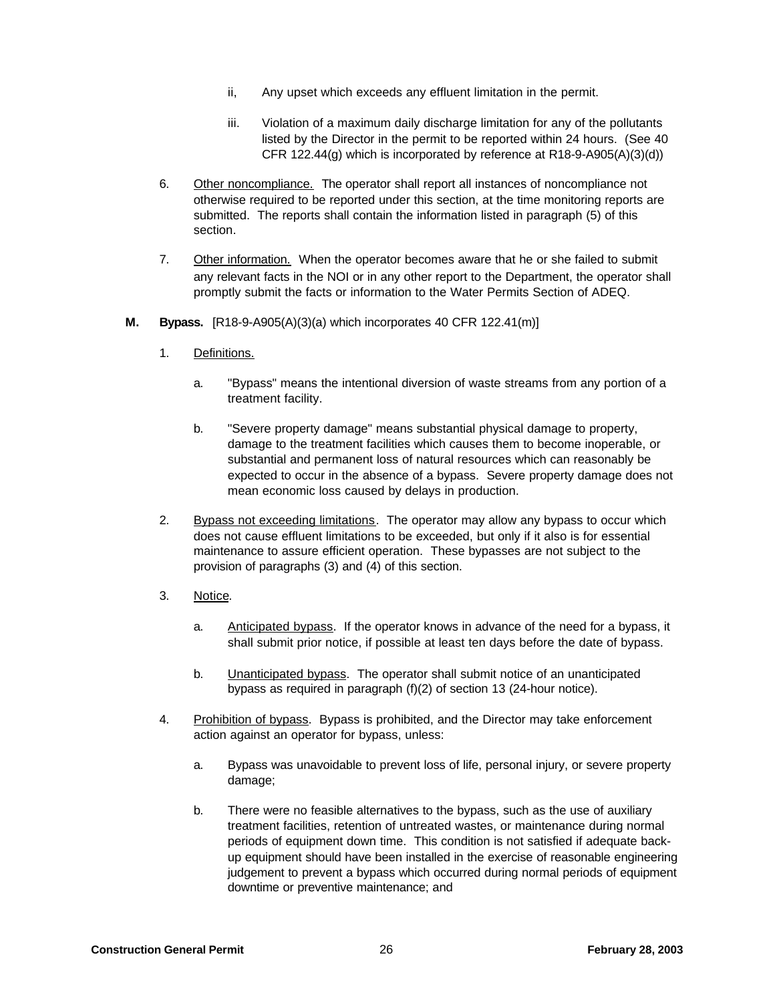- ii, Any upset which exceeds any effluent limitation in the permit.
- iii. Violation of a maximum daily discharge limitation for any of the pollutants listed by the Director in the permit to be reported within 24 hours. (See 40 CFR 122.44(g) which is incorporated by reference at R18-9-A905(A)(3)(d))
- 6. Other noncompliance. The operator shall report all instances of noncompliance not otherwise required to be reported under this section, at the time monitoring reports are submitted. The reports shall contain the information listed in paragraph (5) of this section.
- 7. Other information. When the operator becomes aware that he or she failed to submit any relevant facts in the NOI or in any other report to the Department, the operator shall promptly submit the facts or information to the Water Permits Section of ADEQ.
- **M. Bypass.** [R18-9-A905(A)(3)(a) which incorporates 40 CFR 122.41(m)]
	- 1. Definitions.
		- a. "Bypass" means the intentional diversion of waste streams from any portion of a treatment facility.
		- b. "Severe property damage" means substantial physical damage to property, damage to the treatment facilities which causes them to become inoperable, or substantial and permanent loss of natural resources which can reasonably be expected to occur in the absence of a bypass. Severe property damage does not mean economic loss caused by delays in production.
	- 2. Bypass not exceeding limitations. The operator may allow any bypass to occur which does not cause effluent limitations to be exceeded, but only if it also is for essential maintenance to assure efficient operation. These bypasses are not subject to the provision of paragraphs (3) and (4) of this section.
	- 3. Notice.
		- a. Anticipated bypass. If the operator knows in advance of the need for a bypass, it shall submit prior notice, if possible at least ten days before the date of bypass.
		- b. Unanticipated bypass. The operator shall submit notice of an unanticipated bypass as required in paragraph (f)(2) of section 13 (24-hour notice).
	- 4. Prohibition of bypass. Bypass is prohibited, and the Director may take enforcement action against an operator for bypass, unless:
		- a. Bypass was unavoidable to prevent loss of life, personal injury, or severe property damage;
		- b. There were no feasible alternatives to the bypass, such as the use of auxiliary treatment facilities, retention of untreated wastes, or maintenance during normal periods of equipment down time. This condition is not satisfied if adequate backup equipment should have been installed in the exercise of reasonable engineering judgement to prevent a bypass which occurred during normal periods of equipment downtime or preventive maintenance; and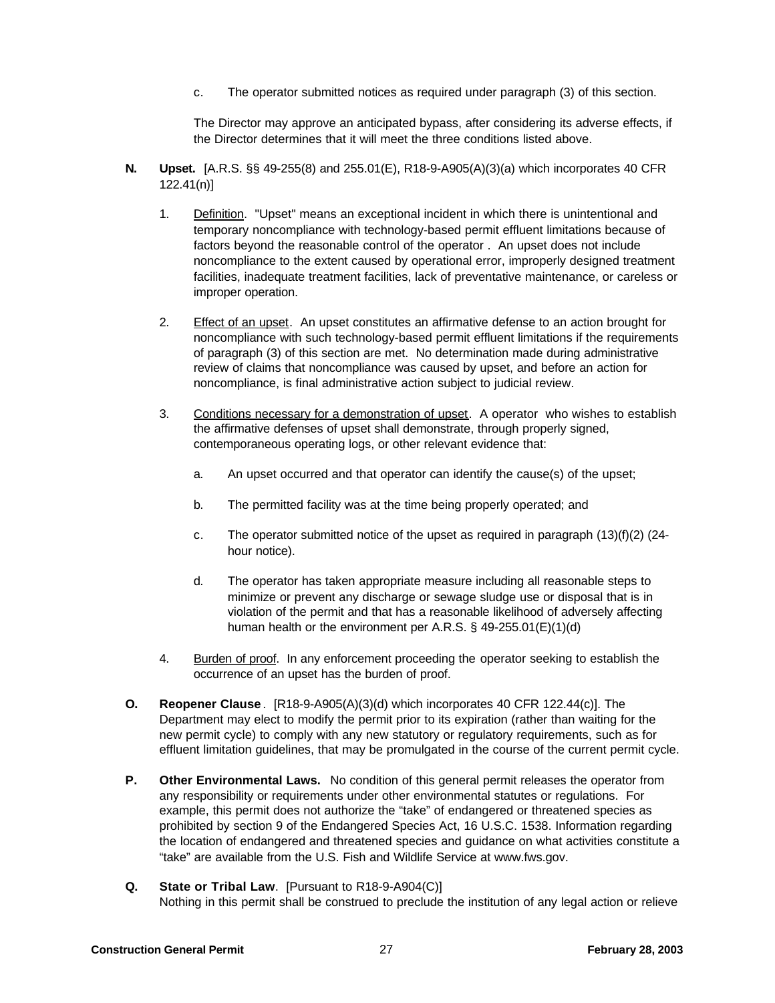c. The operator submitted notices as required under paragraph (3) of this section.

The Director may approve an anticipated bypass, after considering its adverse effects, if the Director determines that it will meet the three conditions listed above.

- **N. Upset.** [A.R.S. §§ 49-255(8) and 255.01(E), R18-9-A905(A)(3)(a) which incorporates 40 CFR 122.41(n)]
	- 1. Definition. "Upset" means an exceptional incident in which there is unintentional and temporary noncompliance with technology-based permit effluent limitations because of factors beyond the reasonable control of the operator . An upset does not include noncompliance to the extent caused by operational error, improperly designed treatment facilities, inadequate treatment facilities, lack of preventative maintenance, or careless or improper operation.
	- 2. Effect of an upset. An upset constitutes an affirmative defense to an action brought for noncompliance with such technology-based permit effluent limitations if the requirements of paragraph (3) of this section are met. No determination made during administrative review of claims that noncompliance was caused by upset, and before an action for noncompliance, is final administrative action subject to judicial review.
	- 3. Conditions necessary for a demonstration of upset. A operator who wishes to establish the affirmative defenses of upset shall demonstrate, through properly signed, contemporaneous operating logs, or other relevant evidence that:
		- a. An upset occurred and that operator can identify the cause(s) of the upset;
		- b. The permitted facility was at the time being properly operated; and
		- c. The operator submitted notice of the upset as required in paragraph  $(13)(f)(2)$  (24hour notice).
		- d. The operator has taken appropriate measure including all reasonable steps to minimize or prevent any discharge or sewage sludge use or disposal that is in violation of the permit and that has a reasonable likelihood of adversely affecting human health or the environment per A.R.S. § 49-255.01(E)(1)(d)
	- 4. Burden of proof. In any enforcement proceeding the operator seeking to establish the occurrence of an upset has the burden of proof.
- **O. Reopener Clause** . [R18-9-A905(A)(3)(d) which incorporates 40 CFR 122.44(c)]. The Department may elect to modify the permit prior to its expiration (rather than waiting for the new permit cycle) to comply with any new statutory or regulatory requirements, such as for effluent limitation guidelines, that may be promulgated in the course of the current permit cycle.
- **P. Other Environmental Laws.** No condition of this general permit releases the operator from any responsibility or requirements under other environmental statutes or regulations. For example, this permit does not authorize the "take" of endangered or threatened species as prohibited by section 9 of the Endangered Species Act, 16 U.S.C. 1538. Information regarding the location of endangered and threatened species and guidance on what activities constitute a "take" are available from the U.S. Fish and Wildlife Service at www.fws.gov.
- **Q. State or Tribal Law**. [Pursuant to R18-9-A904(C)] Nothing in this permit shall be construed to preclude the institution of any legal action or relieve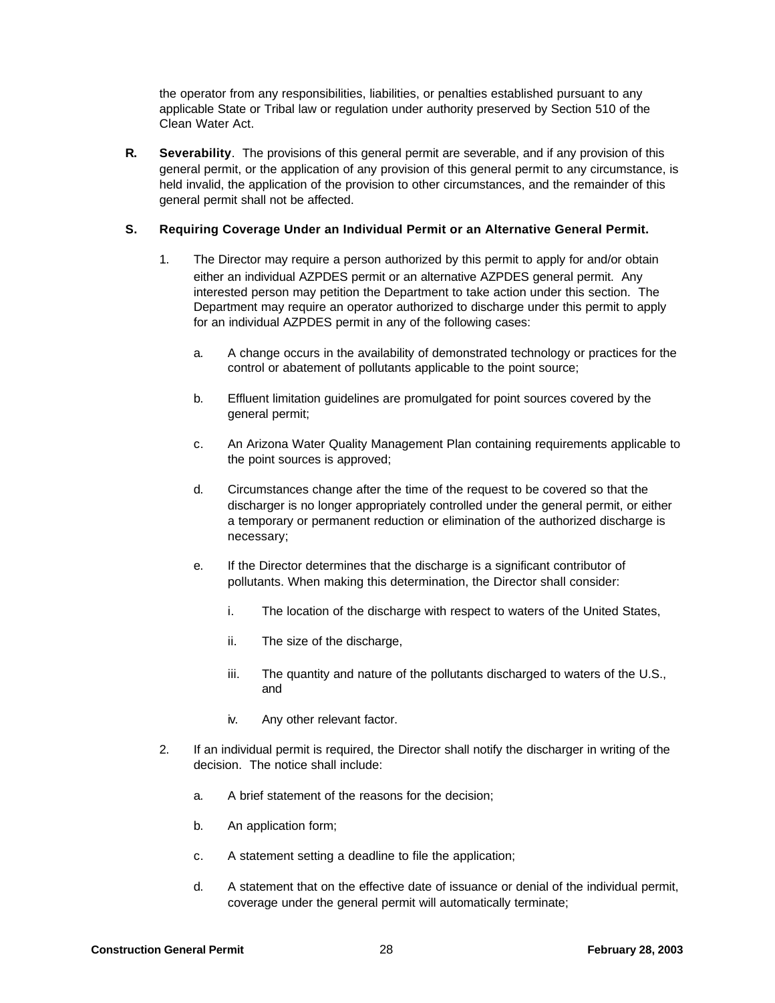the operator from any responsibilities, liabilities, or penalties established pursuant to any applicable State or Tribal law or regulation under authority preserved by Section 510 of the Clean Water Act.

**R. Severability**. The provisions of this general permit are severable, and if any provision of this general permit, or the application of any provision of this general permit to any circumstance, is held invalid, the application of the provision to other circumstances, and the remainder of this general permit shall not be affected.

# **S. Requiring Coverage Under an Individual Permit or an Alternative General Permit.**

- 1. The Director may require a person authorized by this permit to apply for and/or obtain either an individual AZPDES permit or an alternative AZPDES general permit. Any interested person may petition the Department to take action under this section. The Department may require an operator authorized to discharge under this permit to apply for an individual AZPDES permit in any of the following cases:
	- a. A change occurs in the availability of demonstrated technology or practices for the control or abatement of pollutants applicable to the point source;
	- b. Effluent limitation guidelines are promulgated for point sources covered by the general permit;
	- c. An Arizona Water Quality Management Plan containing requirements applicable to the point sources is approved;
	- d. Circumstances change after the time of the request to be covered so that the discharger is no longer appropriately controlled under the general permit, or either a temporary or permanent reduction or elimination of the authorized discharge is necessary;
	- e. If the Director determines that the discharge is a significant contributor of pollutants. When making this determination, the Director shall consider:
		- i. The location of the discharge with respect to waters of the United States,
		- ii. The size of the discharge,
		- iii. The quantity and nature of the pollutants discharged to waters of the U.S., and
		- iv. Any other relevant factor.
- 2. If an individual permit is required, the Director shall notify the discharger in writing of the decision. The notice shall include:
	- a. A brief statement of the reasons for the decision;
	- b. An application form;
	- c. A statement setting a deadline to file the application;
	- d. A statement that on the effective date of issuance or denial of the individual permit, coverage under the general permit will automatically terminate;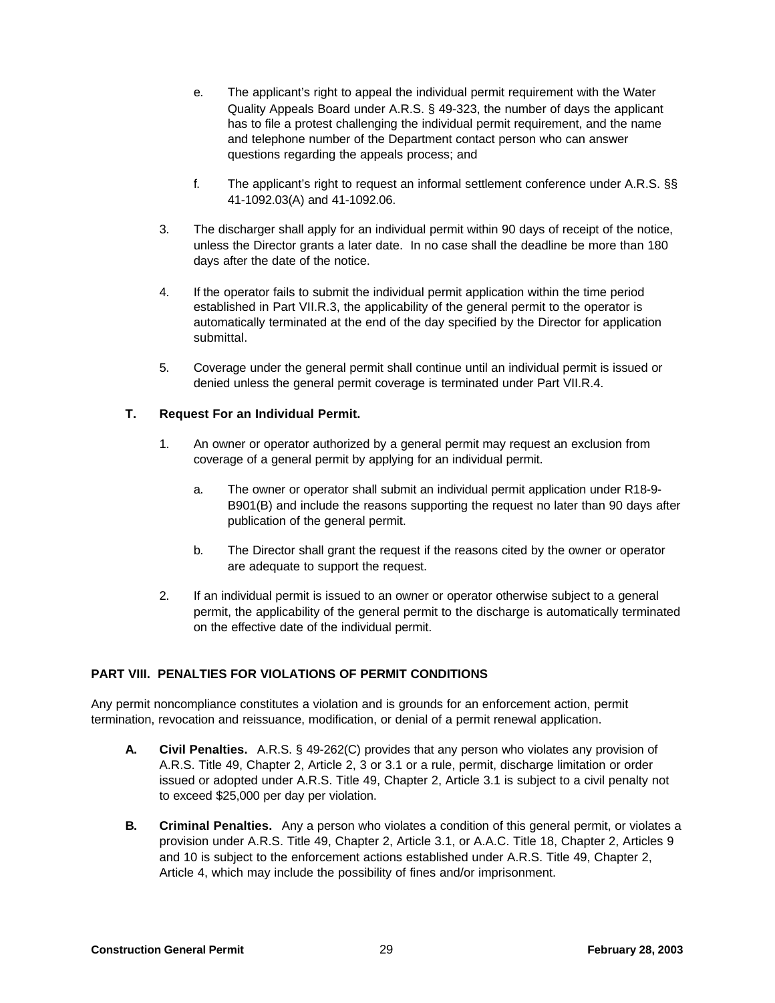- e. The applicant's right to appeal the individual permit requirement with the Water Quality Appeals Board under A.R.S. § 49-323, the number of days the applicant has to file a protest challenging the individual permit requirement, and the name and telephone number of the Department contact person who can answer questions regarding the appeals process; and
- f. The applicant's right to request an informal settlement conference under A.R.S. §§ 41-1092.03(A) and 41-1092.06.
- 3. The discharger shall apply for an individual permit within 90 days of receipt of the notice, unless the Director grants a later date. In no case shall the deadline be more than 180 days after the date of the notice.
- 4. If the operator fails to submit the individual permit application within the time period established in Part VII.R.3, the applicability of the general permit to the operator is automatically terminated at the end of the day specified by the Director for application submittal.
- 5. Coverage under the general permit shall continue until an individual permit is issued or denied unless the general permit coverage is terminated under Part VII.R.4.

## **T. Request For an Individual Permit.**

- 1. An owner or operator authorized by a general permit may request an exclusion from coverage of a general permit by applying for an individual permit.
	- a. The owner or operator shall submit an individual permit application under R18-9- B901(B) and include the reasons supporting the request no later than 90 days after publication of the general permit.
	- b. The Director shall grant the request if the reasons cited by the owner or operator are adequate to support the request.
- 2. If an individual permit is issued to an owner or operator otherwise subject to a general permit, the applicability of the general permit to the discharge is automatically terminated on the effective date of the individual permit.

#### **PART VIII. PENALTIES FOR VIOLATIONS OF PERMIT CONDITIONS**

Any permit noncompliance constitutes a violation and is grounds for an enforcement action, permit termination, revocation and reissuance, modification, or denial of a permit renewal application.

- **A. Civil Penalties.** A.R.S. § 49-262(C) provides that any person who violates any provision of A.R.S. Title 49, Chapter 2, Article 2, 3 or 3.1 or a rule, permit, discharge limitation or order issued or adopted under A.R.S. Title 49, Chapter 2, Article 3.1 is subject to a civil penalty not to exceed \$25,000 per day per violation.
- **B. Criminal Penalties.** Any a person who violates a condition of this general permit, or violates a provision under A.R.S. Title 49, Chapter 2, Article 3.1, or A.A.C. Title 18, Chapter 2, Articles 9 and 10 is subject to the enforcement actions established under A.R.S. Title 49, Chapter 2, Article 4, which may include the possibility of fines and/or imprisonment.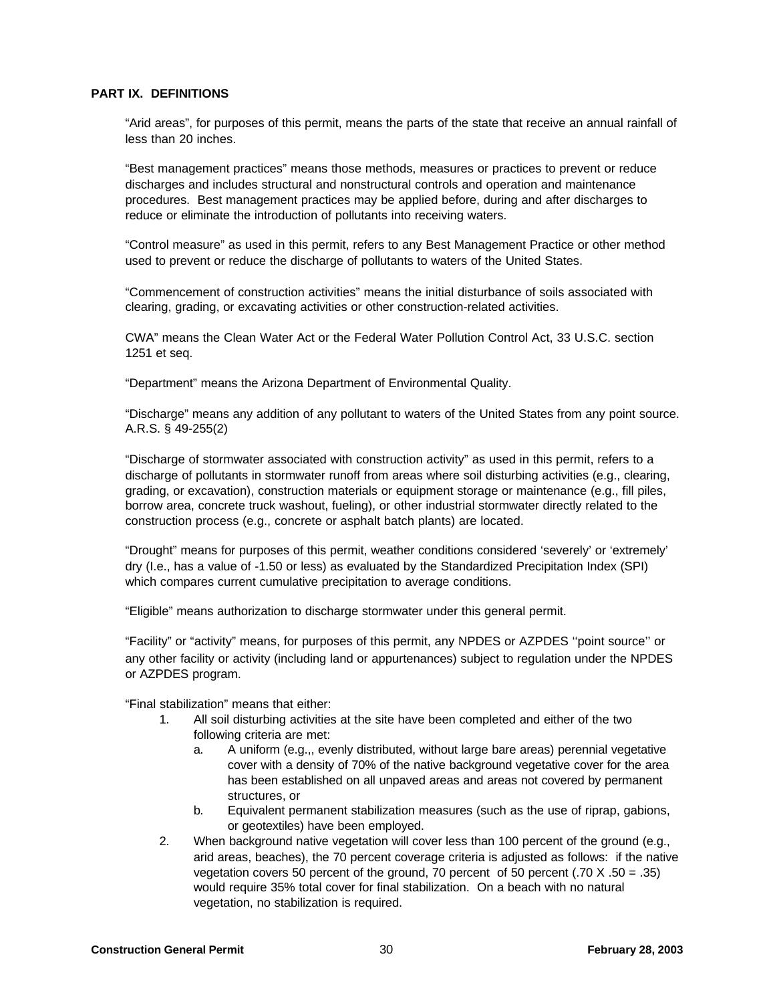## **PART IX. DEFINITIONS**

"Arid areas", for purposes of this permit, means the parts of the state that receive an annual rainfall of less than 20 inches.

"Best management practices" means those methods, measures or practices to prevent or reduce discharges and includes structural and nonstructural controls and operation and maintenance procedures. Best management practices may be applied before, during and after discharges to reduce or eliminate the introduction of pollutants into receiving waters.

"Control measure" as used in this permit, refers to any Best Management Practice or other method used to prevent or reduce the discharge of pollutants to waters of the United States.

"Commencement of construction activities" means the initial disturbance of soils associated with clearing, grading, or excavating activities or other construction-related activities.

CWA" means the Clean Water Act or the Federal Water Pollution Control Act, 33 U.S.C. section 1251 et seq.

"Department" means the Arizona Department of Environmental Quality.

"Discharge" means any addition of any pollutant to waters of the United States from any point source. A.R.S. § 49-255(2)

"Discharge of stormwater associated with construction activity" as used in this permit, refers to a discharge of pollutants in stormwater runoff from areas where soil disturbing activities (e.g., clearing, grading, or excavation), construction materials or equipment storage or maintenance (e.g., fill piles, borrow area, concrete truck washout, fueling), or other industrial stormwater directly related to the construction process (e.g., concrete or asphalt batch plants) are located.

"Drought" means for purposes of this permit, weather conditions considered 'severely' or 'extremely' dry (I.e., has a value of -1.50 or less) as evaluated by the Standardized Precipitation Index (SPI) which compares current cumulative precipitation to average conditions.

"Eligible" means authorization to discharge stormwater under this general permit.

"Facility" or "activity" means, for purposes of this permit, any NPDES or AZPDES ''point source'' or any other facility or activity (including land or appurtenances) subject to regulation under the NPDES or AZPDES program.

"Final stabilization" means that either:

- 1. All soil disturbing activities at the site have been completed and either of the two following criteria are met:
	- a. A uniform (e.g.,, evenly distributed, without large bare areas) perennial vegetative cover with a density of 70% of the native background vegetative cover for the area has been established on all unpaved areas and areas not covered by permanent structures, or
	- b. Equivalent permanent stabilization measures (such as the use of riprap, gabions, or geotextiles) have been employed.
- 2. When background native vegetation will cover less than 100 percent of the ground (e.g., arid areas, beaches), the 70 percent coverage criteria is adjusted as follows: if the native vegetation covers 50 percent of the ground, 70 percent of 50 percent (.70  $\times$  .50 = .35) would require 35% total cover for final stabilization. On a beach with no natural vegetation, no stabilization is required.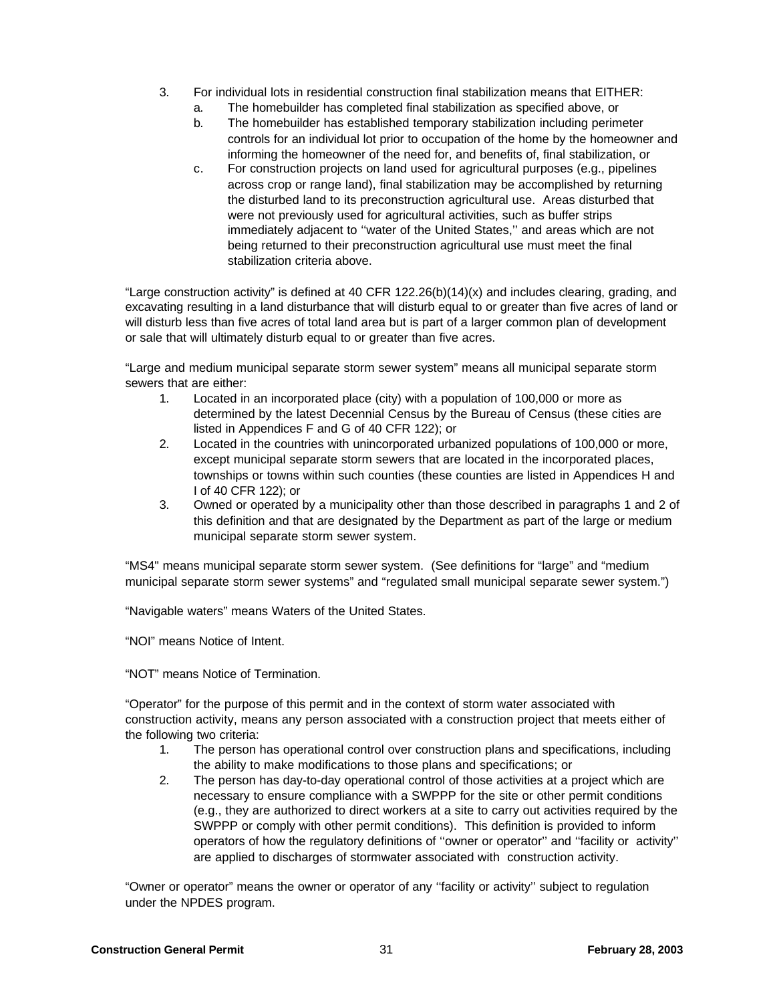- 3. For individual lots in residential construction final stabilization means that EITHER:
	- a. The homebuilder has completed final stabilization as specified above, or
	- b. The homebuilder has established temporary stabilization including perimeter controls for an individual lot prior to occupation of the home by the homeowner and informing the homeowner of the need for, and benefits of, final stabilization, or
	- c. For construction projects on land used for agricultural purposes (e.g., pipelines across crop or range land), final stabilization may be accomplished by returning the disturbed land to its preconstruction agricultural use. Areas disturbed that were not previously used for agricultural activities, such as buffer strips immediately adjacent to ''water of the United States,'' and areas which are not being returned to their preconstruction agricultural use must meet the final stabilization criteria above.

"Large construction activity" is defined at 40 CFR  $122.26(b)(14)(x)$  and includes clearing, grading, and excavating resulting in a land disturbance that will disturb equal to or greater than five acres of land or will disturb less than five acres of total land area but is part of a larger common plan of development or sale that will ultimately disturb equal to or greater than five acres.

"Large and medium municipal separate storm sewer system" means all municipal separate storm sewers that are either:

- 1. Located in an incorporated place (city) with a population of 100,000 or more as determined by the latest Decennial Census by the Bureau of Census (these cities are listed in Appendices F and G of 40 CFR 122); or
- 2. Located in the countries with unincorporated urbanized populations of 100,000 or more, except municipal separate storm sewers that are located in the incorporated places, townships or towns within such counties (these counties are listed in Appendices H and I of 40 CFR 122); or
- 3. Owned or operated by a municipality other than those described in paragraphs 1 and 2 of this definition and that are designated by the Department as part of the large or medium municipal separate storm sewer system.

"MS4" means municipal separate storm sewer system. (See definitions for "large" and "medium municipal separate storm sewer systems" and "regulated small municipal separate sewer system.")

"Navigable waters" means Waters of the United States.

"NOI" means Notice of Intent.

"NOT" means Notice of Termination.

"Operator" for the purpose of this permit and in the context of storm water associated with construction activity, means any person associated with a construction project that meets either of the following two criteria:

- 1. The person has operational control over construction plans and specifications, including the ability to make modifications to those plans and specifications; or
- 2. The person has day-to-day operational control of those activities at a project which are necessary to ensure compliance with a SWPPP for the site or other permit conditions (e.g., they are authorized to direct workers at a site to carry out activities required by the SWPPP or comply with other permit conditions). This definition is provided to inform operators of how the regulatory definitions of ''owner or operator'' and ''facility or activity'' are applied to discharges of stormwater associated with construction activity.

"Owner or operator" means the owner or operator of any ''facility or activity'' subject to regulation under the NPDES program.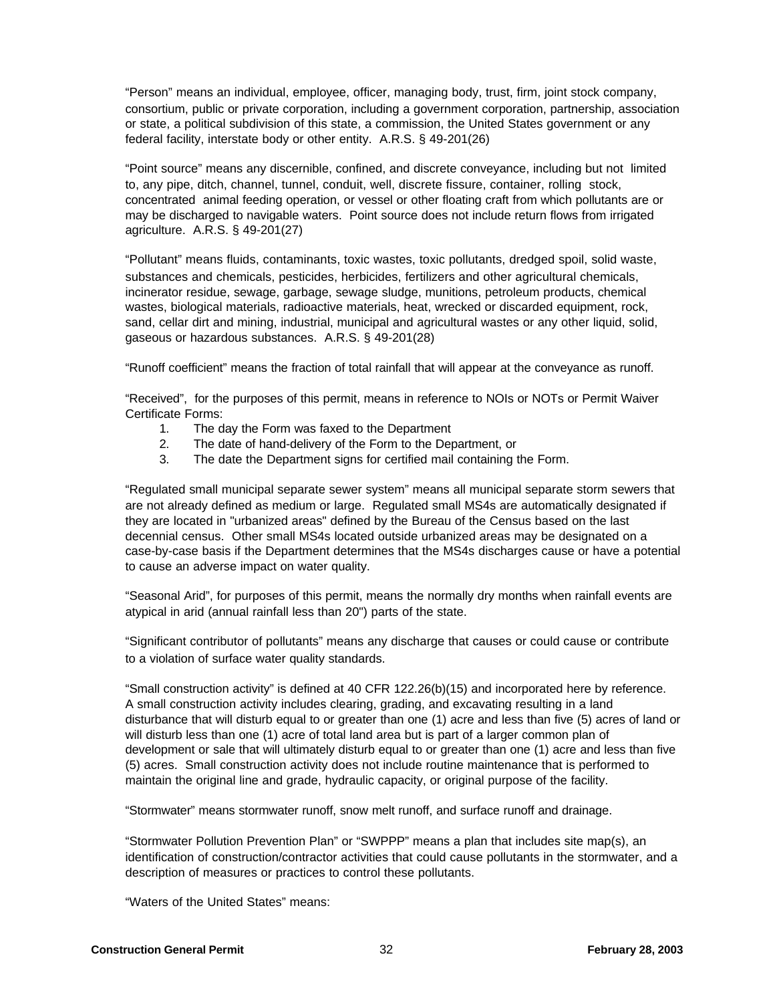"Person" means an individual, employee, officer, managing body, trust, firm, joint stock company, consortium, public or private corporation, including a government corporation, partnership, association or state, a political subdivision of this state, a commission, the United States government or any federal facility, interstate body or other entity. A.R.S. § 49-201(26)

"Point source" means any discernible, confined, and discrete conveyance, including but not limited to, any pipe, ditch, channel, tunnel, conduit, well, discrete fissure, container, rolling stock, concentrated animal feeding operation, or vessel or other floating craft from which pollutants are or may be discharged to navigable waters. Point source does not include return flows from irrigated agriculture. A.R.S. § 49-201(27)

"Pollutant" means fluids, contaminants, toxic wastes, toxic pollutants, dredged spoil, solid waste, substances and chemicals, pesticides, herbicides, fertilizers and other agricultural chemicals, incinerator residue, sewage, garbage, sewage sludge, munitions, petroleum products, chemical wastes, biological materials, radioactive materials, heat, wrecked or discarded equipment, rock, sand, cellar dirt and mining, industrial, municipal and agricultural wastes or any other liquid, solid, gaseous or hazardous substances. A.R.S. § 49-201(28)

"Runoff coefficient" means the fraction of total rainfall that will appear at the conveyance as runoff.

"Received", for the purposes of this permit, means in reference to NOIs or NOTs or Permit Waiver Certificate Forms:

- 1. The day the Form was faxed to the Department
- 2. The date of hand-delivery of the Form to the Department, or
- 3. The date the Department signs for certified mail containing the Form.

"Regulated small municipal separate sewer system" means all municipal separate storm sewers that are not already defined as medium or large. Regulated small MS4s are automatically designated if they are located in "urbanized areas" defined by the Bureau of the Census based on the last decennial census. Other small MS4s located outside urbanized areas may be designated on a case-by-case basis if the Department determines that the MS4s discharges cause or have a potential to cause an adverse impact on water quality.

"Seasonal Arid", for purposes of this permit, means the normally dry months when rainfall events are atypical in arid (annual rainfall less than 20") parts of the state.

"Significant contributor of pollutants" means any discharge that causes or could cause or contribute to a violation of surface water quality standards.

"Small construction activity" is defined at 40 CFR 122.26(b)(15) and incorporated here by reference. A small construction activity includes clearing, grading, and excavating resulting in a land disturbance that will disturb equal to or greater than one (1) acre and less than five (5) acres of land or will disturb less than one (1) acre of total land area but is part of a larger common plan of development or sale that will ultimately disturb equal to or greater than one (1) acre and less than five (5) acres. Small construction activity does not include routine maintenance that is performed to maintain the original line and grade, hydraulic capacity, or original purpose of the facility.

"Stormwater" means stormwater runoff, snow melt runoff, and surface runoff and drainage.

"Stormwater Pollution Prevention Plan" or "SWPPP" means a plan that includes site map(s), an identification of construction/contractor activities that could cause pollutants in the stormwater, and a description of measures or practices to control these pollutants.

"Waters of the United States" means: